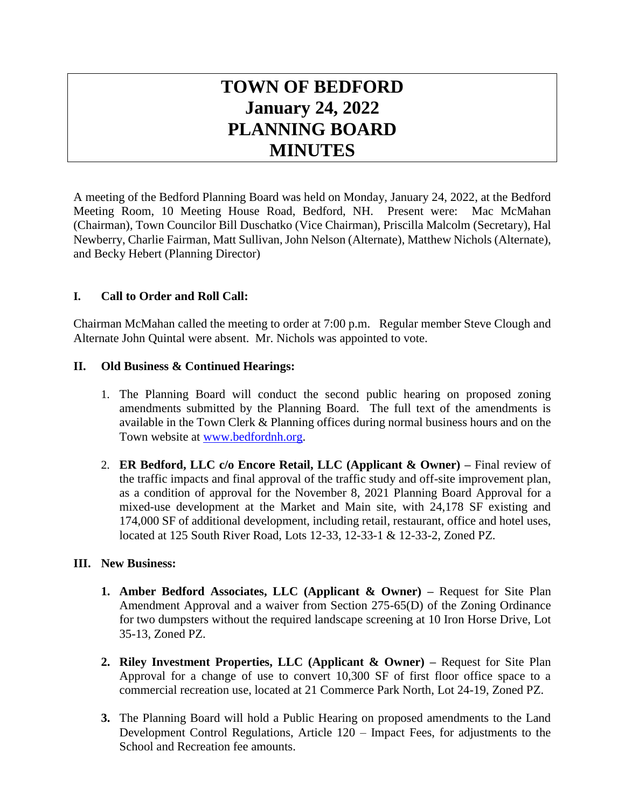# **TOWN OF BEDFORD January 24, 2022 PLANNING BOARD MINUTES**

A meeting of the Bedford Planning Board was held on Monday, January 24, 2022, at the Bedford Meeting Room, 10 Meeting House Road, Bedford, NH. Present were: Mac McMahan (Chairman), Town Councilor Bill Duschatko (Vice Chairman), Priscilla Malcolm (Secretary), Hal Newberry, Charlie Fairman, Matt Sullivan, John Nelson (Alternate), Matthew Nichols (Alternate), and Becky Hebert (Planning Director)

# **I. Call to Order and Roll Call:**

Chairman McMahan called the meeting to order at 7:00 p.m. Regular member Steve Clough and Alternate John Quintal were absent. Mr. Nichols was appointed to vote.

#### **II. Old Business & Continued Hearings:**

- 1. The Planning Board will conduct the second public hearing on proposed zoning amendments submitted by the Planning Board. The full text of the amendments is available in the Town Clerk & Planning offices during normal business hours and on the Town website at [www.bedfordnh.org.](http://www.bedfordnh.org/)
- 2. **ER Bedford, LLC c/o Encore Retail, LLC (Applicant & Owner) –** Final review of the traffic impacts and final approval of the traffic study and off-site improvement plan, as a condition of approval for the November 8, 2021 Planning Board Approval for a mixed-use development at the Market and Main site, with 24,178 SF existing and 174,000 SF of additional development, including retail, restaurant, office and hotel uses, located at 125 South River Road, Lots 12-33, 12-33-1 & 12-33-2, Zoned PZ.

#### **III. New Business:**

- **1. Amber Bedford Associates, LLC (Applicant & Owner) –** Request for Site Plan Amendment Approval and a waiver from Section 275-65(D) of the Zoning Ordinance for two dumpsters without the required landscape screening at 10 Iron Horse Drive, Lot 35-13, Zoned PZ.
- **2. Riley Investment Properties, LLC (Applicant & Owner) –** Request for Site Plan Approval for a change of use to convert 10,300 SF of first floor office space to a commercial recreation use, located at 21 Commerce Park North, Lot 24-19, Zoned PZ.
- **3.** The Planning Board will hold a Public Hearing on proposed amendments to the Land Development Control Regulations, Article 120 – Impact Fees, for adjustments to the School and Recreation fee amounts.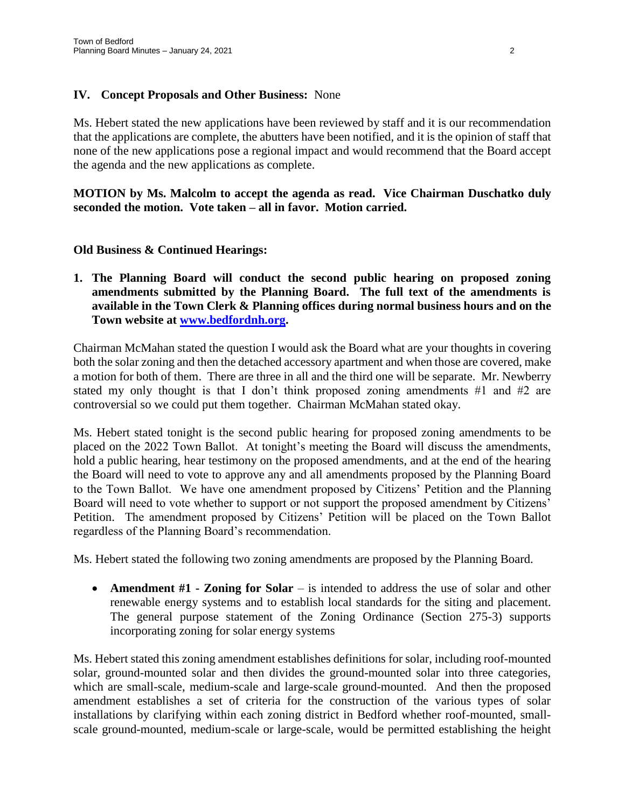#### **IV. Concept Proposals and Other Business:** None

Ms. Hebert stated the new applications have been reviewed by staff and it is our recommendation that the applications are complete, the abutters have been notified, and it is the opinion of staff that none of the new applications pose a regional impact and would recommend that the Board accept the agenda and the new applications as complete.

**MOTION by Ms. Malcolm to accept the agenda as read. Vice Chairman Duschatko duly seconded the motion. Vote taken – all in favor. Motion carried.**

#### **Old Business & Continued Hearings:**

**1. The Planning Board will conduct the second public hearing on proposed zoning amendments submitted by the Planning Board. The full text of the amendments is available in the Town Clerk & Planning offices during normal business hours and on the Town website at [www.bedfordnh.org.](http://www.bedfordnh.org/)**

Chairman McMahan stated the question I would ask the Board what are your thoughts in covering both the solar zoning and then the detached accessory apartment and when those are covered, make a motion for both of them. There are three in all and the third one will be separate. Mr. Newberry stated my only thought is that I don't think proposed zoning amendments #1 and #2 are controversial so we could put them together. Chairman McMahan stated okay.

Ms. Hebert stated tonight is the second public hearing for proposed zoning amendments to be placed on the 2022 Town Ballot. At tonight's meeting the Board will discuss the amendments, hold a public hearing, hear testimony on the proposed amendments, and at the end of the hearing the Board will need to vote to approve any and all amendments proposed by the Planning Board to the Town Ballot. We have one amendment proposed by Citizens' Petition and the Planning Board will need to vote whether to support or not support the proposed amendment by Citizens' Petition. The amendment proposed by Citizens' Petition will be placed on the Town Ballot regardless of the Planning Board's recommendation.

Ms. Hebert stated the following two zoning amendments are proposed by the Planning Board.

 **Amendment #1 - Zoning for Solar** – is intended to address the use of solar and other renewable energy systems and to establish local standards for the siting and placement. The general purpose statement of the Zoning Ordinance (Section 275-3) supports incorporating zoning for solar energy systems

Ms. Hebert stated this zoning amendment establishes definitions for solar, including roof-mounted solar, ground-mounted solar and then divides the ground-mounted solar into three categories, which are small-scale, medium-scale and large-scale ground-mounted. And then the proposed amendment establishes a set of criteria for the construction of the various types of solar installations by clarifying within each zoning district in Bedford whether roof-mounted, smallscale ground-mounted, medium-scale or large-scale, would be permitted establishing the height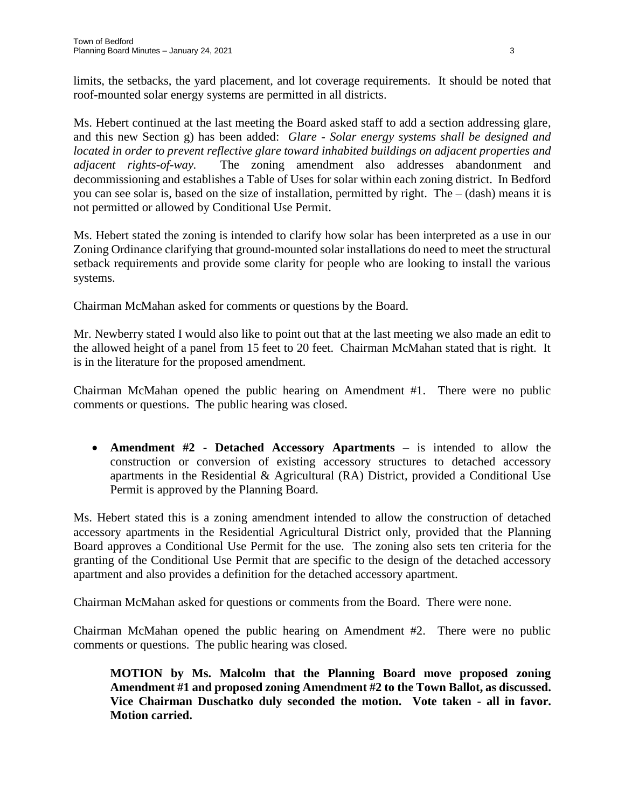limits, the setbacks, the yard placement, and lot coverage requirements. It should be noted that roof-mounted solar energy systems are permitted in all districts.

Ms. Hebert continued at the last meeting the Board asked staff to add a section addressing glare, and this new Section g) has been added: *Glare - Solar energy systems shall be designed and located in order to prevent reflective glare toward inhabited buildings on adjacent properties and adjacent rights-of-way.* The zoning amendment also addresses abandonment and decommissioning and establishes a Table of Uses for solar within each zoning district. In Bedford you can see solar is, based on the size of installation, permitted by right. The – (dash) means it is not permitted or allowed by Conditional Use Permit.

Ms. Hebert stated the zoning is intended to clarify how solar has been interpreted as a use in our Zoning Ordinance clarifying that ground-mounted solar installations do need to meet the structural setback requirements and provide some clarity for people who are looking to install the various systems.

Chairman McMahan asked for comments or questions by the Board.

Mr. Newberry stated I would also like to point out that at the last meeting we also made an edit to the allowed height of a panel from 15 feet to 20 feet. Chairman McMahan stated that is right. It is in the literature for the proposed amendment.

Chairman McMahan opened the public hearing on Amendment #1. There were no public comments or questions. The public hearing was closed.

 **Amendment #2 - Detached Accessory Apartments** – is intended to allow the construction or conversion of existing accessory structures to detached accessory apartments in the Residential  $\&$  Agricultural (RA) District, provided a Conditional Use Permit is approved by the Planning Board.

Ms. Hebert stated this is a zoning amendment intended to allow the construction of detached accessory apartments in the Residential Agricultural District only, provided that the Planning Board approves a Conditional Use Permit for the use. The zoning also sets ten criteria for the granting of the Conditional Use Permit that are specific to the design of the detached accessory apartment and also provides a definition for the detached accessory apartment.

Chairman McMahan asked for questions or comments from the Board. There were none.

Chairman McMahan opened the public hearing on Amendment #2. There were no public comments or questions. The public hearing was closed.

**MOTION by Ms. Malcolm that the Planning Board move proposed zoning Amendment #1 and proposed zoning Amendment #2 to the Town Ballot, as discussed. Vice Chairman Duschatko duly seconded the motion. Vote taken - all in favor. Motion carried.**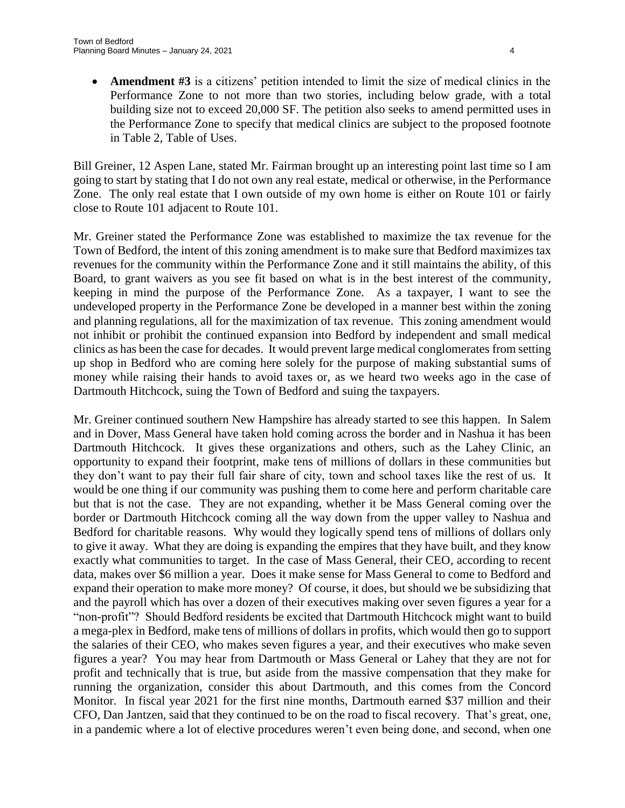**Amendment #3** is a citizens' petition intended to limit the size of medical clinics in the Performance Zone to not more than two stories, including below grade, with a total building size not to exceed 20,000 SF. The petition also seeks to amend permitted uses in the Performance Zone to specify that medical clinics are subject to the proposed footnote in Table 2, Table of Uses.

Bill Greiner, 12 Aspen Lane, stated Mr. Fairman brought up an interesting point last time so I am going to start by stating that I do not own any real estate, medical or otherwise, in the Performance Zone. The only real estate that I own outside of my own home is either on Route 101 or fairly close to Route 101 adjacent to Route 101.

Mr. Greiner stated the Performance Zone was established to maximize the tax revenue for the Town of Bedford, the intent of this zoning amendment is to make sure that Bedford maximizes tax revenues for the community within the Performance Zone and it still maintains the ability, of this Board, to grant waivers as you see fit based on what is in the best interest of the community, keeping in mind the purpose of the Performance Zone. As a taxpayer, I want to see the undeveloped property in the Performance Zone be developed in a manner best within the zoning and planning regulations, all for the maximization of tax revenue. This zoning amendment would not inhibit or prohibit the continued expansion into Bedford by independent and small medical clinics as has been the case for decades. It would prevent large medical conglomerates from setting up shop in Bedford who are coming here solely for the purpose of making substantial sums of money while raising their hands to avoid taxes or, as we heard two weeks ago in the case of Dartmouth Hitchcock, suing the Town of Bedford and suing the taxpayers.

Mr. Greiner continued southern New Hampshire has already started to see this happen. In Salem and in Dover, Mass General have taken hold coming across the border and in Nashua it has been Dartmouth Hitchcock. It gives these organizations and others, such as the Lahey Clinic, an opportunity to expand their footprint, make tens of millions of dollars in these communities but they don't want to pay their full fair share of city, town and school taxes like the rest of us. It would be one thing if our community was pushing them to come here and perform charitable care but that is not the case. They are not expanding, whether it be Mass General coming over the border or Dartmouth Hitchcock coming all the way down from the upper valley to Nashua and Bedford for charitable reasons. Why would they logically spend tens of millions of dollars only to give it away. What they are doing is expanding the empires that they have built, and they know exactly what communities to target. In the case of Mass General, their CEO, according to recent data, makes over \$6 million a year. Does it make sense for Mass General to come to Bedford and expand their operation to make more money? Of course, it does, but should we be subsidizing that and the payroll which has over a dozen of their executives making over seven figures a year for a "non-profit"? Should Bedford residents be excited that Dartmouth Hitchcock might want to build a mega-plex in Bedford, make tens of millions of dollars in profits, which would then go to support the salaries of their CEO, who makes seven figures a year, and their executives who make seven figures a year? You may hear from Dartmouth or Mass General or Lahey that they are not for profit and technically that is true, but aside from the massive compensation that they make for running the organization, consider this about Dartmouth, and this comes from the Concord Monitor. In fiscal year 2021 for the first nine months, Dartmouth earned \$37 million and their CFO, Dan Jantzen, said that they continued to be on the road to fiscal recovery. That's great, one, in a pandemic where a lot of elective procedures weren't even being done, and second, when one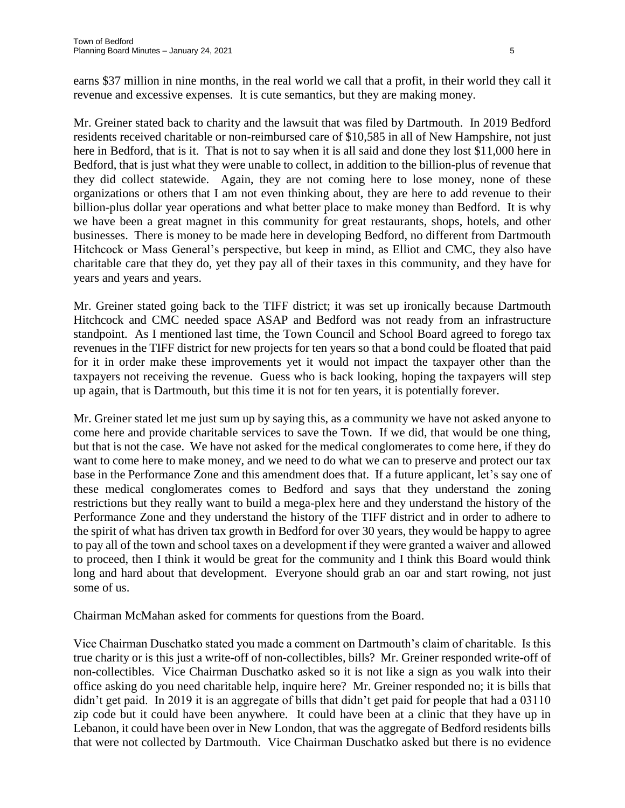earns \$37 million in nine months, in the real world we call that a profit, in their world they call it revenue and excessive expenses. It is cute semantics, but they are making money.

Mr. Greiner stated back to charity and the lawsuit that was filed by Dartmouth. In 2019 Bedford residents received charitable or non-reimbursed care of \$10,585 in all of New Hampshire, not just here in Bedford, that is it. That is not to say when it is all said and done they lost \$11,000 here in Bedford, that is just what they were unable to collect, in addition to the billion-plus of revenue that they did collect statewide. Again, they are not coming here to lose money, none of these organizations or others that I am not even thinking about, they are here to add revenue to their billion-plus dollar year operations and what better place to make money than Bedford. It is why we have been a great magnet in this community for great restaurants, shops, hotels, and other businesses. There is money to be made here in developing Bedford, no different from Dartmouth Hitchcock or Mass General's perspective, but keep in mind, as Elliot and CMC, they also have charitable care that they do, yet they pay all of their taxes in this community, and they have for years and years and years.

Mr. Greiner stated going back to the TIFF district; it was set up ironically because Dartmouth Hitchcock and CMC needed space ASAP and Bedford was not ready from an infrastructure standpoint. As I mentioned last time, the Town Council and School Board agreed to forego tax revenues in the TIFF district for new projects for ten years so that a bond could be floated that paid for it in order make these improvements yet it would not impact the taxpayer other than the taxpayers not receiving the revenue. Guess who is back looking, hoping the taxpayers will step up again, that is Dartmouth, but this time it is not for ten years, it is potentially forever.

Mr. Greiner stated let me just sum up by saying this, as a community we have not asked anyone to come here and provide charitable services to save the Town. If we did, that would be one thing, but that is not the case. We have not asked for the medical conglomerates to come here, if they do want to come here to make money, and we need to do what we can to preserve and protect our tax base in the Performance Zone and this amendment does that. If a future applicant, let's say one of these medical conglomerates comes to Bedford and says that they understand the zoning restrictions but they really want to build a mega-plex here and they understand the history of the Performance Zone and they understand the history of the TIFF district and in order to adhere to the spirit of what has driven tax growth in Bedford for over 30 years, they would be happy to agree to pay all of the town and school taxes on a development if they were granted a waiver and allowed to proceed, then I think it would be great for the community and I think this Board would think long and hard about that development. Everyone should grab an oar and start rowing, not just some of us.

Chairman McMahan asked for comments for questions from the Board.

Vice Chairman Duschatko stated you made a comment on Dartmouth's claim of charitable. Is this true charity or is this just a write-off of non-collectibles, bills? Mr. Greiner responded write-off of non-collectibles. Vice Chairman Duschatko asked so it is not like a sign as you walk into their office asking do you need charitable help, inquire here? Mr. Greiner responded no; it is bills that didn't get paid. In 2019 it is an aggregate of bills that didn't get paid for people that had a 03110 zip code but it could have been anywhere. It could have been at a clinic that they have up in Lebanon, it could have been over in New London, that was the aggregate of Bedford residents bills that were not collected by Dartmouth. Vice Chairman Duschatko asked but there is no evidence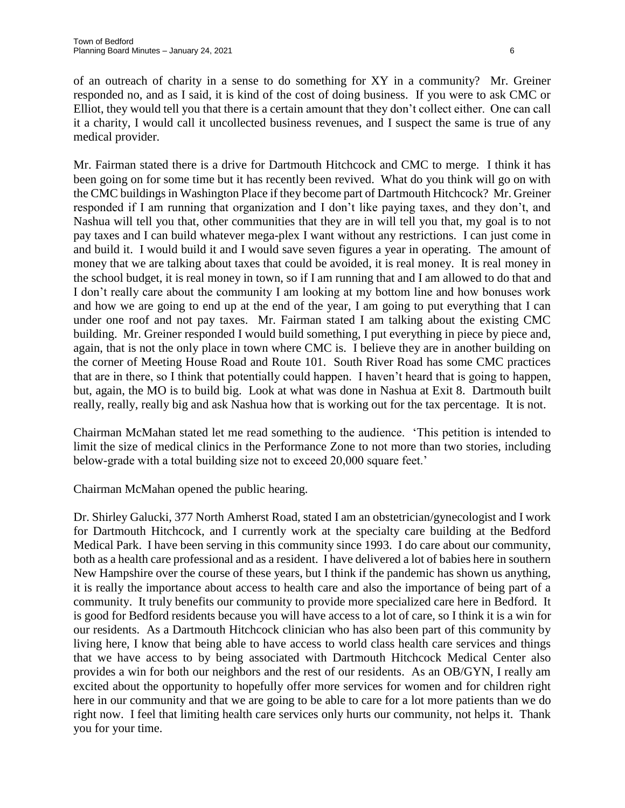of an outreach of charity in a sense to do something for XY in a community? Mr. Greiner responded no, and as I said, it is kind of the cost of doing business. If you were to ask CMC or Elliot, they would tell you that there is a certain amount that they don't collect either. One can call it a charity, I would call it uncollected business revenues, and I suspect the same is true of any medical provider.

Mr. Fairman stated there is a drive for Dartmouth Hitchcock and CMC to merge. I think it has been going on for some time but it has recently been revived. What do you think will go on with the CMC buildings in Washington Place if they become part of Dartmouth Hitchcock? Mr. Greiner responded if I am running that organization and I don't like paying taxes, and they don't, and Nashua will tell you that, other communities that they are in will tell you that, my goal is to not pay taxes and I can build whatever mega-plex I want without any restrictions. I can just come in and build it. I would build it and I would save seven figures a year in operating. The amount of money that we are talking about taxes that could be avoided, it is real money. It is real money in the school budget, it is real money in town, so if I am running that and I am allowed to do that and I don't really care about the community I am looking at my bottom line and how bonuses work and how we are going to end up at the end of the year, I am going to put everything that I can under one roof and not pay taxes. Mr. Fairman stated I am talking about the existing CMC building. Mr. Greiner responded I would build something, I put everything in piece by piece and, again, that is not the only place in town where CMC is. I believe they are in another building on the corner of Meeting House Road and Route 101. South River Road has some CMC practices that are in there, so I think that potentially could happen. I haven't heard that is going to happen, but, again, the MO is to build big. Look at what was done in Nashua at Exit 8. Dartmouth built really, really, really big and ask Nashua how that is working out for the tax percentage. It is not.

Chairman McMahan stated let me read something to the audience. 'This petition is intended to limit the size of medical clinics in the Performance Zone to not more than two stories, including below-grade with a total building size not to exceed 20,000 square feet.'

Chairman McMahan opened the public hearing.

Dr. Shirley Galucki, 377 North Amherst Road, stated I am an obstetrician/gynecologist and I work for Dartmouth Hitchcock, and I currently work at the specialty care building at the Bedford Medical Park. I have been serving in this community since 1993. I do care about our community, both as a health care professional and as a resident. I have delivered a lot of babies here in southern New Hampshire over the course of these years, but I think if the pandemic has shown us anything, it is really the importance about access to health care and also the importance of being part of a community. It truly benefits our community to provide more specialized care here in Bedford. It is good for Bedford residents because you will have access to a lot of care, so I think it is a win for our residents. As a Dartmouth Hitchcock clinician who has also been part of this community by living here, I know that being able to have access to world class health care services and things that we have access to by being associated with Dartmouth Hitchcock Medical Center also provides a win for both our neighbors and the rest of our residents. As an OB/GYN, I really am excited about the opportunity to hopefully offer more services for women and for children right here in our community and that we are going to be able to care for a lot more patients than we do right now. I feel that limiting health care services only hurts our community, not helps it. Thank you for your time.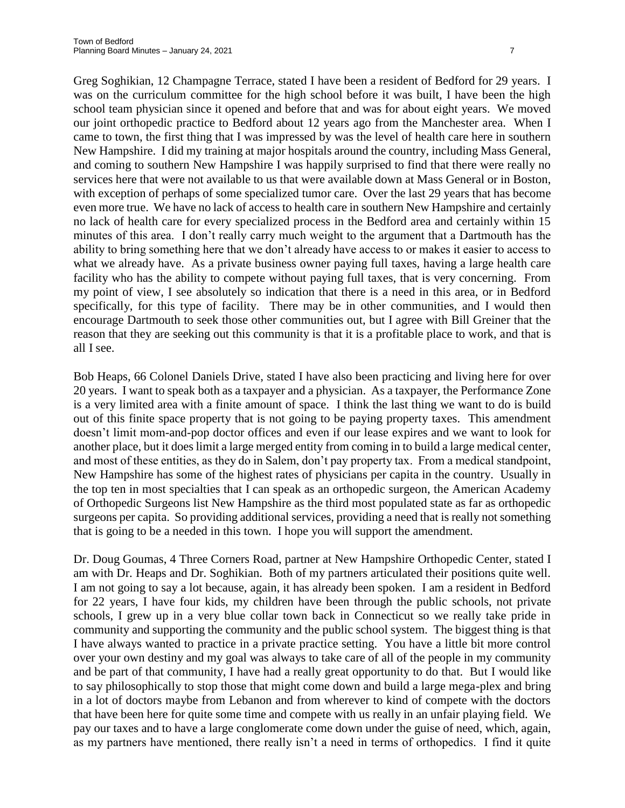Greg Soghikian, 12 Champagne Terrace, stated I have been a resident of Bedford for 29 years. I was on the curriculum committee for the high school before it was built, I have been the high school team physician since it opened and before that and was for about eight years. We moved our joint orthopedic practice to Bedford about 12 years ago from the Manchester area. When I came to town, the first thing that I was impressed by was the level of health care here in southern New Hampshire. I did my training at major hospitals around the country, including Mass General, and coming to southern New Hampshire I was happily surprised to find that there were really no services here that were not available to us that were available down at Mass General or in Boston, with exception of perhaps of some specialized tumor care. Over the last 29 years that has become even more true. We have no lack of access to health care in southern New Hampshire and certainly no lack of health care for every specialized process in the Bedford area and certainly within 15 minutes of this area. I don't really carry much weight to the argument that a Dartmouth has the ability to bring something here that we don't already have access to or makes it easier to access to what we already have. As a private business owner paying full taxes, having a large health care facility who has the ability to compete without paying full taxes, that is very concerning. From my point of view, I see absolutely so indication that there is a need in this area, or in Bedford specifically, for this type of facility. There may be in other communities, and I would then encourage Dartmouth to seek those other communities out, but I agree with Bill Greiner that the reason that they are seeking out this community is that it is a profitable place to work, and that is all I see.

Bob Heaps, 66 Colonel Daniels Drive, stated I have also been practicing and living here for over 20 years. I want to speak both as a taxpayer and a physician. As a taxpayer, the Performance Zone is a very limited area with a finite amount of space. I think the last thing we want to do is build out of this finite space property that is not going to be paying property taxes. This amendment doesn't limit mom-and-pop doctor offices and even if our lease expires and we want to look for another place, but it does limit a large merged entity from coming in to build a large medical center, and most of these entities, as they do in Salem, don't pay property tax. From a medical standpoint, New Hampshire has some of the highest rates of physicians per capita in the country. Usually in the top ten in most specialties that I can speak as an orthopedic surgeon, the American Academy of Orthopedic Surgeons list New Hampshire as the third most populated state as far as orthopedic surgeons per capita. So providing additional services, providing a need that is really not something that is going to be a needed in this town. I hope you will support the amendment.

Dr. Doug Goumas, 4 Three Corners Road, partner at New Hampshire Orthopedic Center, stated I am with Dr. Heaps and Dr. Soghikian. Both of my partners articulated their positions quite well. I am not going to say a lot because, again, it has already been spoken. I am a resident in Bedford for 22 years, I have four kids, my children have been through the public schools, not private schools, I grew up in a very blue collar town back in Connecticut so we really take pride in community and supporting the community and the public school system. The biggest thing is that I have always wanted to practice in a private practice setting. You have a little bit more control over your own destiny and my goal was always to take care of all of the people in my community and be part of that community, I have had a really great opportunity to do that. But I would like to say philosophically to stop those that might come down and build a large mega-plex and bring in a lot of doctors maybe from Lebanon and from wherever to kind of compete with the doctors that have been here for quite some time and compete with us really in an unfair playing field. We pay our taxes and to have a large conglomerate come down under the guise of need, which, again, as my partners have mentioned, there really isn't a need in terms of orthopedics. I find it quite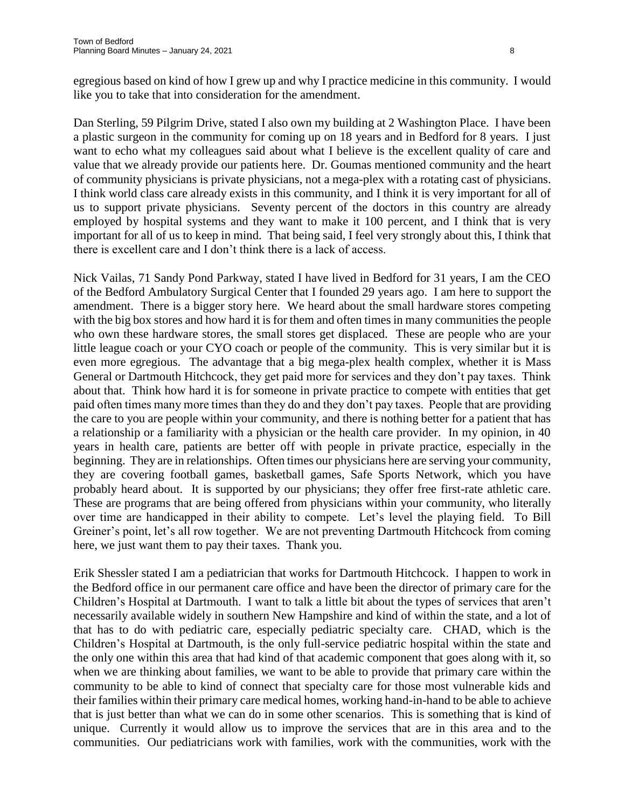egregious based on kind of how I grew up and why I practice medicine in this community. I would like you to take that into consideration for the amendment.

Dan Sterling, 59 Pilgrim Drive, stated I also own my building at 2 Washington Place. I have been a plastic surgeon in the community for coming up on 18 years and in Bedford for 8 years. I just want to echo what my colleagues said about what I believe is the excellent quality of care and value that we already provide our patients here. Dr. Goumas mentioned community and the heart of community physicians is private physicians, not a mega-plex with a rotating cast of physicians. I think world class care already exists in this community, and I think it is very important for all of us to support private physicians. Seventy percent of the doctors in this country are already employed by hospital systems and they want to make it 100 percent, and I think that is very important for all of us to keep in mind. That being said, I feel very strongly about this, I think that there is excellent care and I don't think there is a lack of access.

Nick Vailas, 71 Sandy Pond Parkway, stated I have lived in Bedford for 31 years, I am the CEO of the Bedford Ambulatory Surgical Center that I founded 29 years ago. I am here to support the amendment. There is a bigger story here. We heard about the small hardware stores competing with the big box stores and how hard it is for them and often times in many communities the people who own these hardware stores, the small stores get displaced. These are people who are your little league coach or your CYO coach or people of the community. This is very similar but it is even more egregious. The advantage that a big mega-plex health complex, whether it is Mass General or Dartmouth Hitchcock, they get paid more for services and they don't pay taxes. Think about that. Think how hard it is for someone in private practice to compete with entities that get paid often times many more times than they do and they don't pay taxes. People that are providing the care to you are people within your community, and there is nothing better for a patient that has a relationship or a familiarity with a physician or the health care provider. In my opinion, in 40 years in health care, patients are better off with people in private practice, especially in the beginning. They are in relationships. Often times our physicians here are serving your community, they are covering football games, basketball games, Safe Sports Network, which you have probably heard about. It is supported by our physicians; they offer free first-rate athletic care. These are programs that are being offered from physicians within your community, who literally over time are handicapped in their ability to compete. Let's level the playing field. To Bill Greiner's point, let's all row together. We are not preventing Dartmouth Hitchcock from coming here, we just want them to pay their taxes. Thank you.

Erik Shessler stated I am a pediatrician that works for Dartmouth Hitchcock. I happen to work in the Bedford office in our permanent care office and have been the director of primary care for the Children's Hospital at Dartmouth. I want to talk a little bit about the types of services that aren't necessarily available widely in southern New Hampshire and kind of within the state, and a lot of that has to do with pediatric care, especially pediatric specialty care. CHAD, which is the Children's Hospital at Dartmouth, is the only full-service pediatric hospital within the state and the only one within this area that had kind of that academic component that goes along with it, so when we are thinking about families, we want to be able to provide that primary care within the community to be able to kind of connect that specialty care for those most vulnerable kids and their families within their primary care medical homes, working hand-in-hand to be able to achieve that is just better than what we can do in some other scenarios. This is something that is kind of unique. Currently it would allow us to improve the services that are in this area and to the communities. Our pediatricians work with families, work with the communities, work with the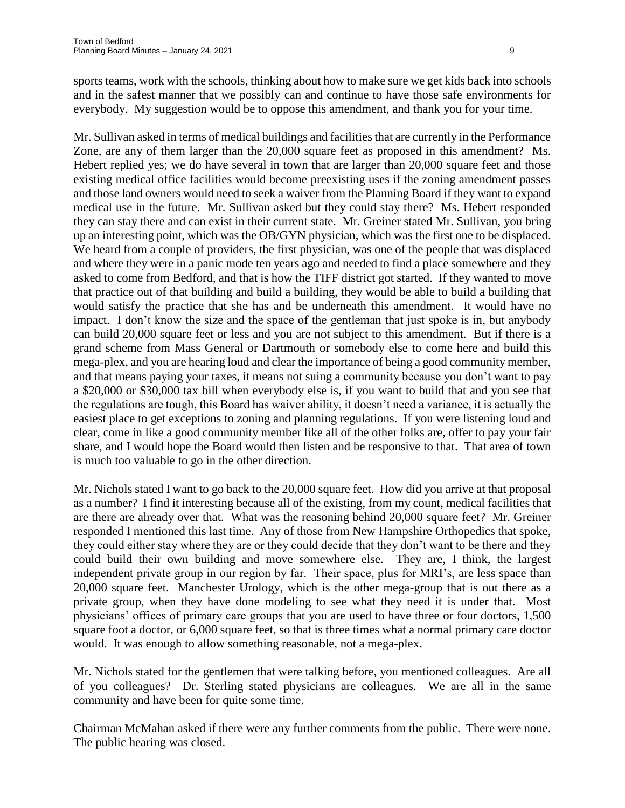sports teams, work with the schools, thinking about how to make sure we get kids back into schools and in the safest manner that we possibly can and continue to have those safe environments for everybody. My suggestion would be to oppose this amendment, and thank you for your time.

Mr. Sullivan asked in terms of medical buildings and facilities that are currently in the Performance Zone, are any of them larger than the 20,000 square feet as proposed in this amendment? Ms. Hebert replied yes; we do have several in town that are larger than 20,000 square feet and those existing medical office facilities would become preexisting uses if the zoning amendment passes and those land owners would need to seek a waiver from the Planning Board if they want to expand medical use in the future. Mr. Sullivan asked but they could stay there? Ms. Hebert responded they can stay there and can exist in their current state. Mr. Greiner stated Mr. Sullivan, you bring up an interesting point, which was the OB/GYN physician, which was the first one to be displaced. We heard from a couple of providers, the first physician, was one of the people that was displaced and where they were in a panic mode ten years ago and needed to find a place somewhere and they asked to come from Bedford, and that is how the TIFF district got started. If they wanted to move that practice out of that building and build a building, they would be able to build a building that would satisfy the practice that she has and be underneath this amendment. It would have no impact. I don't know the size and the space of the gentleman that just spoke is in, but anybody can build 20,000 square feet or less and you are not subject to this amendment. But if there is a grand scheme from Mass General or Dartmouth or somebody else to come here and build this mega-plex, and you are hearing loud and clear the importance of being a good community member, and that means paying your taxes, it means not suing a community because you don't want to pay a \$20,000 or \$30,000 tax bill when everybody else is, if you want to build that and you see that the regulations are tough, this Board has waiver ability, it doesn't need a variance, it is actually the easiest place to get exceptions to zoning and planning regulations. If you were listening loud and clear, come in like a good community member like all of the other folks are, offer to pay your fair share, and I would hope the Board would then listen and be responsive to that. That area of town is much too valuable to go in the other direction.

Mr. Nichols stated I want to go back to the 20,000 square feet. How did you arrive at that proposal as a number? I find it interesting because all of the existing, from my count, medical facilities that are there are already over that. What was the reasoning behind 20,000 square feet? Mr. Greiner responded I mentioned this last time. Any of those from New Hampshire Orthopedics that spoke, they could either stay where they are or they could decide that they don't want to be there and they could build their own building and move somewhere else. They are, I think, the largest independent private group in our region by far. Their space, plus for MRI's, are less space than 20,000 square feet. Manchester Urology, which is the other mega-group that is out there as a private group, when they have done modeling to see what they need it is under that. Most physicians' offices of primary care groups that you are used to have three or four doctors, 1,500 square foot a doctor, or 6,000 square feet, so that is three times what a normal primary care doctor would. It was enough to allow something reasonable, not a mega-plex.

Mr. Nichols stated for the gentlemen that were talking before, you mentioned colleagues. Are all of you colleagues? Dr. Sterling stated physicians are colleagues. We are all in the same community and have been for quite some time.

Chairman McMahan asked if there were any further comments from the public. There were none. The public hearing was closed.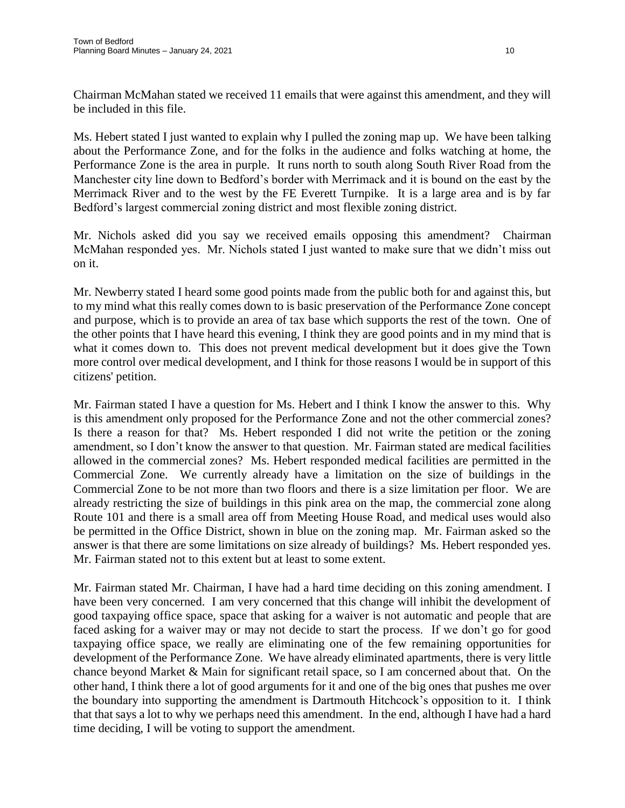Chairman McMahan stated we received 11 emails that were against this amendment, and they will be included in this file.

Ms. Hebert stated I just wanted to explain why I pulled the zoning map up. We have been talking about the Performance Zone, and for the folks in the audience and folks watching at home, the Performance Zone is the area in purple. It runs north to south along South River Road from the Manchester city line down to Bedford's border with Merrimack and it is bound on the east by the Merrimack River and to the west by the FE Everett Turnpike. It is a large area and is by far Bedford's largest commercial zoning district and most flexible zoning district.

Mr. Nichols asked did you say we received emails opposing this amendment? Chairman McMahan responded yes. Mr. Nichols stated I just wanted to make sure that we didn't miss out on it.

Mr. Newberry stated I heard some good points made from the public both for and against this, but to my mind what this really comes down to is basic preservation of the Performance Zone concept and purpose, which is to provide an area of tax base which supports the rest of the town. One of the other points that I have heard this evening, I think they are good points and in my mind that is what it comes down to. This does not prevent medical development but it does give the Town more control over medical development, and I think for those reasons I would be in support of this citizens' petition.

Mr. Fairman stated I have a question for Ms. Hebert and I think I know the answer to this. Why is this amendment only proposed for the Performance Zone and not the other commercial zones? Is there a reason for that? Ms. Hebert responded I did not write the petition or the zoning amendment, so I don't know the answer to that question. Mr. Fairman stated are medical facilities allowed in the commercial zones? Ms. Hebert responded medical facilities are permitted in the Commercial Zone. We currently already have a limitation on the size of buildings in the Commercial Zone to be not more than two floors and there is a size limitation per floor. We are already restricting the size of buildings in this pink area on the map, the commercial zone along Route 101 and there is a small area off from Meeting House Road, and medical uses would also be permitted in the Office District, shown in blue on the zoning map. Mr. Fairman asked so the answer is that there are some limitations on size already of buildings? Ms. Hebert responded yes. Mr. Fairman stated not to this extent but at least to some extent.

Mr. Fairman stated Mr. Chairman, I have had a hard time deciding on this zoning amendment. I have been very concerned. I am very concerned that this change will inhibit the development of good taxpaying office space, space that asking for a waiver is not automatic and people that are faced asking for a waiver may or may not decide to start the process. If we don't go for good taxpaying office space, we really are eliminating one of the few remaining opportunities for development of the Performance Zone. We have already eliminated apartments, there is very little chance beyond Market & Main for significant retail space, so I am concerned about that. On the other hand, I think there a lot of good arguments for it and one of the big ones that pushes me over the boundary into supporting the amendment is Dartmouth Hitchcock's opposition to it. I think that that says a lot to why we perhaps need this amendment. In the end, although I have had a hard time deciding, I will be voting to support the amendment.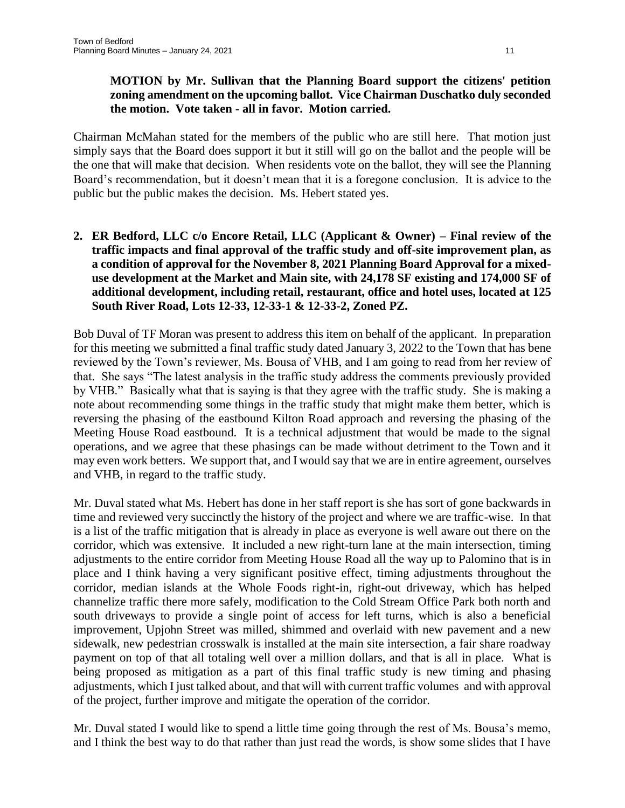#### **MOTION by Mr. Sullivan that the Planning Board support the citizens' petition zoning amendment on the upcoming ballot. Vice Chairman Duschatko duly seconded the motion. Vote taken - all in favor. Motion carried.**

Chairman McMahan stated for the members of the public who are still here. That motion just simply says that the Board does support it but it still will go on the ballot and the people will be the one that will make that decision. When residents vote on the ballot, they will see the Planning Board's recommendation, but it doesn't mean that it is a foregone conclusion. It is advice to the public but the public makes the decision. Ms. Hebert stated yes.

**2. ER Bedford, LLC c/o Encore Retail, LLC (Applicant & Owner) – Final review of the traffic impacts and final approval of the traffic study and off-site improvement plan, as a condition of approval for the November 8, 2021 Planning Board Approval for a mixeduse development at the Market and Main site, with 24,178 SF existing and 174,000 SF of additional development, including retail, restaurant, office and hotel uses, located at 125 South River Road, Lots 12-33, 12-33-1 & 12-33-2, Zoned PZ.**

Bob Duval of TF Moran was present to address this item on behalf of the applicant. In preparation for this meeting we submitted a final traffic study dated January 3, 2022 to the Town that has bene reviewed by the Town's reviewer, Ms. Bousa of VHB, and I am going to read from her review of that. She says "The latest analysis in the traffic study address the comments previously provided by VHB." Basically what that is saying is that they agree with the traffic study. She is making a note about recommending some things in the traffic study that might make them better, which is reversing the phasing of the eastbound Kilton Road approach and reversing the phasing of the Meeting House Road eastbound. It is a technical adjustment that would be made to the signal operations, and we agree that these phasings can be made without detriment to the Town and it may even work betters. We support that, and I would say that we are in entire agreement, ourselves and VHB, in regard to the traffic study.

Mr. Duval stated what Ms. Hebert has done in her staff report is she has sort of gone backwards in time and reviewed very succinctly the history of the project and where we are traffic-wise. In that is a list of the traffic mitigation that is already in place as everyone is well aware out there on the corridor, which was extensive. It included a new right-turn lane at the main intersection, timing adjustments to the entire corridor from Meeting House Road all the way up to Palomino that is in place and I think having a very significant positive effect, timing adjustments throughout the corridor, median islands at the Whole Foods right-in, right-out driveway, which has helped channelize traffic there more safely, modification to the Cold Stream Office Park both north and south driveways to provide a single point of access for left turns, which is also a beneficial improvement, Upjohn Street was milled, shimmed and overlaid with new pavement and a new sidewalk, new pedestrian crosswalk is installed at the main site intersection, a fair share roadway payment on top of that all totaling well over a million dollars, and that is all in place. What is being proposed as mitigation as a part of this final traffic study is new timing and phasing adjustments, which I just talked about, and that will with current traffic volumes and with approval of the project, further improve and mitigate the operation of the corridor.

Mr. Duval stated I would like to spend a little time going through the rest of Ms. Bousa's memo, and I think the best way to do that rather than just read the words, is show some slides that I have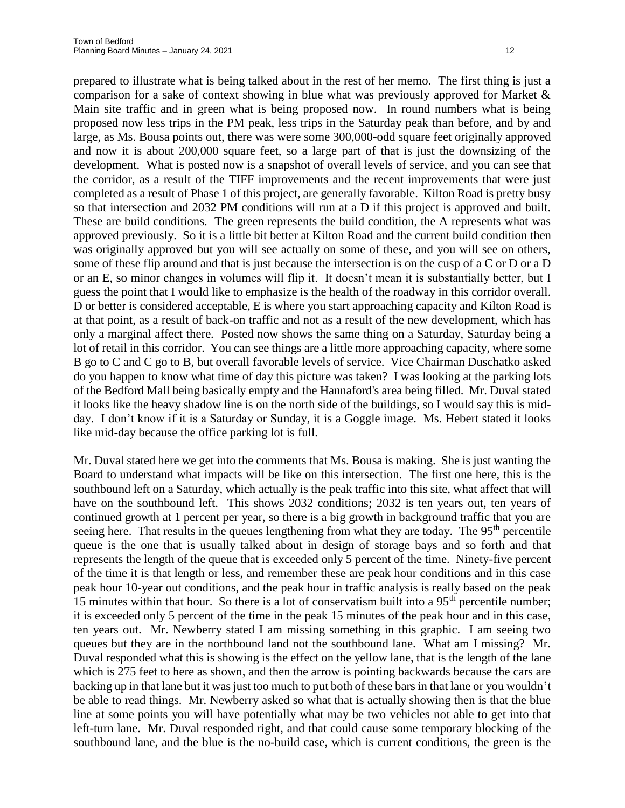prepared to illustrate what is being talked about in the rest of her memo. The first thing is just a comparison for a sake of context showing in blue what was previously approved for Market & Main site traffic and in green what is being proposed now. In round numbers what is being proposed now less trips in the PM peak, less trips in the Saturday peak than before, and by and large, as Ms. Bousa points out, there was were some 300,000-odd square feet originally approved and now it is about 200,000 square feet, so a large part of that is just the downsizing of the development. What is posted now is a snapshot of overall levels of service, and you can see that the corridor, as a result of the TIFF improvements and the recent improvements that were just completed as a result of Phase 1 of this project, are generally favorable. Kilton Road is pretty busy so that intersection and 2032 PM conditions will run at a D if this project is approved and built. These are build conditions. The green represents the build condition, the A represents what was approved previously. So it is a little bit better at Kilton Road and the current build condition then was originally approved but you will see actually on some of these, and you will see on others, some of these flip around and that is just because the intersection is on the cusp of a C or D or a D or an E, so minor changes in volumes will flip it. It doesn't mean it is substantially better, but I guess the point that I would like to emphasize is the health of the roadway in this corridor overall. D or better is considered acceptable, E is where you start approaching capacity and Kilton Road is at that point, as a result of back-on traffic and not as a result of the new development, which has only a marginal affect there. Posted now shows the same thing on a Saturday, Saturday being a lot of retail in this corridor. You can see things are a little more approaching capacity, where some B go to C and C go to B, but overall favorable levels of service. Vice Chairman Duschatko asked do you happen to know what time of day this picture was taken? I was looking at the parking lots of the Bedford Mall being basically empty and the Hannaford's area being filled. Mr. Duval stated it looks like the heavy shadow line is on the north side of the buildings, so I would say this is midday. I don't know if it is a Saturday or Sunday, it is a Goggle image. Ms. Hebert stated it looks like mid-day because the office parking lot is full.

Mr. Duval stated here we get into the comments that Ms. Bousa is making. She is just wanting the Board to understand what impacts will be like on this intersection. The first one here, this is the southbound left on a Saturday, which actually is the peak traffic into this site, what affect that will have on the southbound left. This shows 2032 conditions; 2032 is ten years out, ten years of continued growth at 1 percent per year, so there is a big growth in background traffic that you are seeing here. That results in the queues lengthening from what they are today. The 95<sup>th</sup> percentile queue is the one that is usually talked about in design of storage bays and so forth and that represents the length of the queue that is exceeded only 5 percent of the time. Ninety-five percent of the time it is that length or less, and remember these are peak hour conditions and in this case peak hour 10-year out conditions, and the peak hour in traffic analysis is really based on the peak 15 minutes within that hour. So there is a lot of conservatism built into a  $95<sup>th</sup>$  percentile number; it is exceeded only 5 percent of the time in the peak 15 minutes of the peak hour and in this case, ten years out. Mr. Newberry stated I am missing something in this graphic. I am seeing two queues but they are in the northbound land not the southbound lane. What am I missing? Mr. Duval responded what this is showing is the effect on the yellow lane, that is the length of the lane which is 275 feet to here as shown, and then the arrow is pointing backwards because the cars are backing up in that lane but it was just too much to put both of these bars in that lane or you wouldn't be able to read things. Mr. Newberry asked so what that is actually showing then is that the blue line at some points you will have potentially what may be two vehicles not able to get into that left-turn lane. Mr. Duval responded right, and that could cause some temporary blocking of the southbound lane, and the blue is the no-build case, which is current conditions, the green is the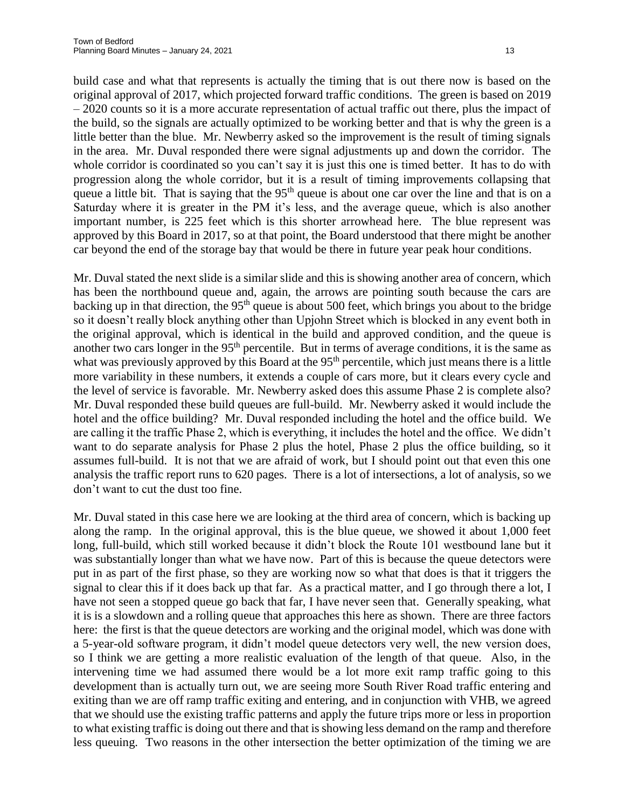build case and what that represents is actually the timing that is out there now is based on the original approval of 2017, which projected forward traffic conditions. The green is based on 2019 – 2020 counts so it is a more accurate representation of actual traffic out there, plus the impact of the build, so the signals are actually optimized to be working better and that is why the green is a little better than the blue. Mr. Newberry asked so the improvement is the result of timing signals in the area. Mr. Duval responded there were signal adjustments up and down the corridor. The whole corridor is coordinated so you can't say it is just this one is timed better. It has to do with progression along the whole corridor, but it is a result of timing improvements collapsing that queue a little bit. That is saying that the  $95<sup>th</sup>$  queue is about one car over the line and that is on a Saturday where it is greater in the PM it's less, and the average queue, which is also another important number, is 225 feet which is this shorter arrowhead here. The blue represent was approved by this Board in 2017, so at that point, the Board understood that there might be another car beyond the end of the storage bay that would be there in future year peak hour conditions.

Mr. Duval stated the next slide is a similar slide and this is showing another area of concern, which has been the northbound queue and, again, the arrows are pointing south because the cars are backing up in that direction, the 95<sup>th</sup> queue is about 500 feet, which brings you about to the bridge so it doesn't really block anything other than Upjohn Street which is blocked in any event both in the original approval, which is identical in the build and approved condition, and the queue is another two cars longer in the 95<sup>th</sup> percentile. But in terms of average conditions, it is the same as what was previously approved by this Board at the  $95<sup>th</sup>$  percentile, which just means there is a little more variability in these numbers, it extends a couple of cars more, but it clears every cycle and the level of service is favorable. Mr. Newberry asked does this assume Phase 2 is complete also? Mr. Duval responded these build queues are full-build. Mr. Newberry asked it would include the hotel and the office building? Mr. Duval responded including the hotel and the office build. We are calling it the traffic Phase 2, which is everything, it includes the hotel and the office. We didn't want to do separate analysis for Phase 2 plus the hotel, Phase 2 plus the office building, so it assumes full-build. It is not that we are afraid of work, but I should point out that even this one analysis the traffic report runs to 620 pages. There is a lot of intersections, a lot of analysis, so we don't want to cut the dust too fine.

Mr. Duval stated in this case here we are looking at the third area of concern, which is backing up along the ramp. In the original approval, this is the blue queue, we showed it about 1,000 feet long, full-build, which still worked because it didn't block the Route 101 westbound lane but it was substantially longer than what we have now. Part of this is because the queue detectors were put in as part of the first phase, so they are working now so what that does is that it triggers the signal to clear this if it does back up that far. As a practical matter, and I go through there a lot, I have not seen a stopped queue go back that far, I have never seen that. Generally speaking, what it is is a slowdown and a rolling queue that approaches this here as shown. There are three factors here: the first is that the queue detectors are working and the original model, which was done with a 5-year-old software program, it didn't model queue detectors very well, the new version does, so I think we are getting a more realistic evaluation of the length of that queue. Also, in the intervening time we had assumed there would be a lot more exit ramp traffic going to this development than is actually turn out, we are seeing more South River Road traffic entering and exiting than we are off ramp traffic exiting and entering, and in conjunction with VHB, we agreed that we should use the existing traffic patterns and apply the future trips more or less in proportion to what existing traffic is doing out there and that is showing less demand on the ramp and therefore less queuing. Two reasons in the other intersection the better optimization of the timing we are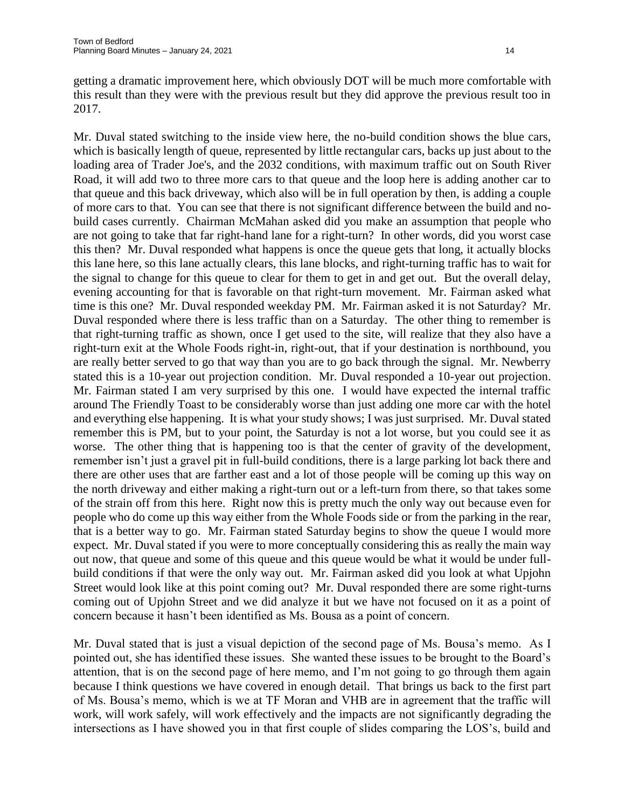getting a dramatic improvement here, which obviously DOT will be much more comfortable with this result than they were with the previous result but they did approve the previous result too in 2017.

Mr. Duval stated switching to the inside view here, the no-build condition shows the blue cars, which is basically length of queue, represented by little rectangular cars, backs up just about to the loading area of Trader Joe's, and the 2032 conditions, with maximum traffic out on South River Road, it will add two to three more cars to that queue and the loop here is adding another car to that queue and this back driveway, which also will be in full operation by then, is adding a couple of more cars to that. You can see that there is not significant difference between the build and nobuild cases currently. Chairman McMahan asked did you make an assumption that people who are not going to take that far right-hand lane for a right-turn? In other words, did you worst case this then? Mr. Duval responded what happens is once the queue gets that long, it actually blocks this lane here, so this lane actually clears, this lane blocks, and right-turning traffic has to wait for the signal to change for this queue to clear for them to get in and get out. But the overall delay, evening accounting for that is favorable on that right-turn movement. Mr. Fairman asked what time is this one? Mr. Duval responded weekday PM. Mr. Fairman asked it is not Saturday? Mr. Duval responded where there is less traffic than on a Saturday. The other thing to remember is that right-turning traffic as shown, once I get used to the site, will realize that they also have a right-turn exit at the Whole Foods right-in, right-out, that if your destination is northbound, you are really better served to go that way than you are to go back through the signal. Mr. Newberry stated this is a 10-year out projection condition. Mr. Duval responded a 10-year out projection. Mr. Fairman stated I am very surprised by this one. I would have expected the internal traffic around The Friendly Toast to be considerably worse than just adding one more car with the hotel and everything else happening. It is what your study shows; I was just surprised. Mr. Duval stated remember this is PM, but to your point, the Saturday is not a lot worse, but you could see it as worse. The other thing that is happening too is that the center of gravity of the development, remember isn't just a gravel pit in full-build conditions, there is a large parking lot back there and there are other uses that are farther east and a lot of those people will be coming up this way on the north driveway and either making a right-turn out or a left-turn from there, so that takes some of the strain off from this here. Right now this is pretty much the only way out because even for people who do come up this way either from the Whole Foods side or from the parking in the rear, that is a better way to go. Mr. Fairman stated Saturday begins to show the queue I would more expect. Mr. Duval stated if you were to more conceptually considering this as really the main way out now, that queue and some of this queue and this queue would be what it would be under fullbuild conditions if that were the only way out. Mr. Fairman asked did you look at what Upjohn Street would look like at this point coming out? Mr. Duval responded there are some right-turns coming out of Upjohn Street and we did analyze it but we have not focused on it as a point of concern because it hasn't been identified as Ms. Bousa as a point of concern.

Mr. Duval stated that is just a visual depiction of the second page of Ms. Bousa's memo. As I pointed out, she has identified these issues. She wanted these issues to be brought to the Board's attention, that is on the second page of here memo, and I'm not going to go through them again because I think questions we have covered in enough detail. That brings us back to the first part of Ms. Bousa's memo, which is we at TF Moran and VHB are in agreement that the traffic will work, will work safely, will work effectively and the impacts are not significantly degrading the intersections as I have showed you in that first couple of slides comparing the LOS's, build and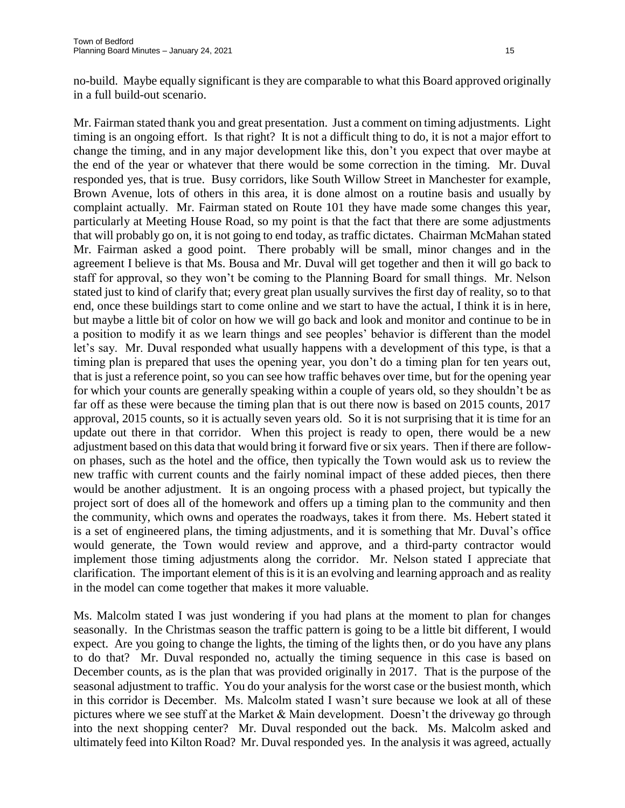no-build. Maybe equally significant is they are comparable to what this Board approved originally in a full build-out scenario.

Mr. Fairman stated thank you and great presentation. Just a comment on timing adjustments. Light timing is an ongoing effort. Is that right? It is not a difficult thing to do, it is not a major effort to change the timing, and in any major development like this, don't you expect that over maybe at the end of the year or whatever that there would be some correction in the timing. Mr. Duval responded yes, that is true. Busy corridors, like South Willow Street in Manchester for example, Brown Avenue, lots of others in this area, it is done almost on a routine basis and usually by complaint actually. Mr. Fairman stated on Route 101 they have made some changes this year, particularly at Meeting House Road, so my point is that the fact that there are some adjustments that will probably go on, it is not going to end today, as traffic dictates. Chairman McMahan stated Mr. Fairman asked a good point. There probably will be small, minor changes and in the agreement I believe is that Ms. Bousa and Mr. Duval will get together and then it will go back to staff for approval, so they won't be coming to the Planning Board for small things. Mr. Nelson stated just to kind of clarify that; every great plan usually survives the first day of reality, so to that end, once these buildings start to come online and we start to have the actual, I think it is in here, but maybe a little bit of color on how we will go back and look and monitor and continue to be in a position to modify it as we learn things and see peoples' behavior is different than the model let's say. Mr. Duval responded what usually happens with a development of this type, is that a timing plan is prepared that uses the opening year, you don't do a timing plan for ten years out, that is just a reference point, so you can see how traffic behaves over time, but for the opening year for which your counts are generally speaking within a couple of years old, so they shouldn't be as far off as these were because the timing plan that is out there now is based on 2015 counts, 2017 approval, 2015 counts, so it is actually seven years old. So it is not surprising that it is time for an update out there in that corridor. When this project is ready to open, there would be a new adjustment based on this data that would bring it forward five or six years. Then if there are followon phases, such as the hotel and the office, then typically the Town would ask us to review the new traffic with current counts and the fairly nominal impact of these added pieces, then there would be another adjustment. It is an ongoing process with a phased project, but typically the project sort of does all of the homework and offers up a timing plan to the community and then the community, which owns and operates the roadways, takes it from there. Ms. Hebert stated it is a set of engineered plans, the timing adjustments, and it is something that Mr. Duval's office would generate, the Town would review and approve, and a third-party contractor would implement those timing adjustments along the corridor. Mr. Nelson stated I appreciate that clarification. The important element of this is it is an evolving and learning approach and as reality in the model can come together that makes it more valuable.

Ms. Malcolm stated I was just wondering if you had plans at the moment to plan for changes seasonally. In the Christmas season the traffic pattern is going to be a little bit different, I would expect. Are you going to change the lights, the timing of the lights then, or do you have any plans to do that? Mr. Duval responded no, actually the timing sequence in this case is based on December counts, as is the plan that was provided originally in 2017. That is the purpose of the seasonal adjustment to traffic. You do your analysis for the worst case or the busiest month, which in this corridor is December. Ms. Malcolm stated I wasn't sure because we look at all of these pictures where we see stuff at the Market & Main development. Doesn't the driveway go through into the next shopping center? Mr. Duval responded out the back. Ms. Malcolm asked and ultimately feed into Kilton Road? Mr. Duval responded yes. In the analysis it was agreed, actually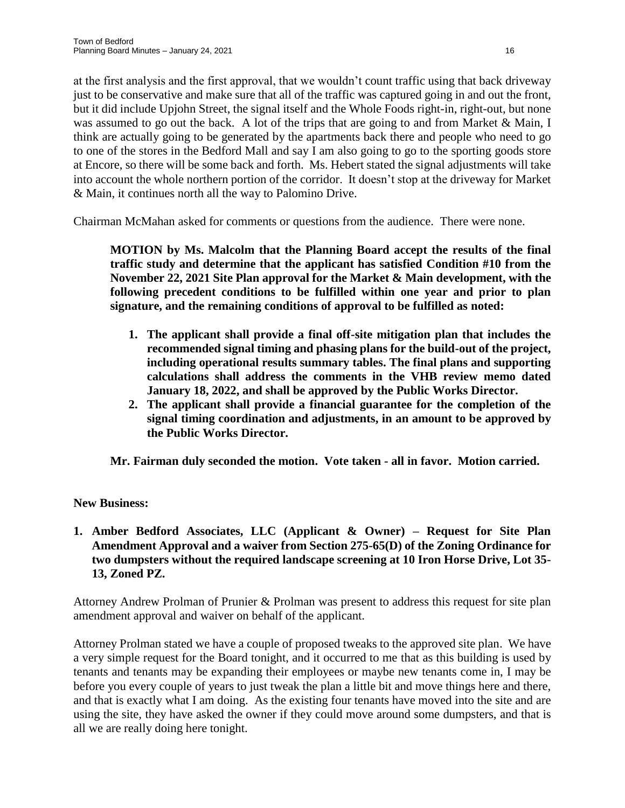at the first analysis and the first approval, that we wouldn't count traffic using that back driveway just to be conservative and make sure that all of the traffic was captured going in and out the front, but it did include Upjohn Street, the signal itself and the Whole Foods right-in, right-out, but none was assumed to go out the back. A lot of the trips that are going to and from Market & Main, I think are actually going to be generated by the apartments back there and people who need to go to one of the stores in the Bedford Mall and say I am also going to go to the sporting goods store at Encore, so there will be some back and forth. Ms. Hebert stated the signal adjustments will take into account the whole northern portion of the corridor. It doesn't stop at the driveway for Market & Main, it continues north all the way to Palomino Drive.

Chairman McMahan asked for comments or questions from the audience. There were none.

**MOTION by Ms. Malcolm that the Planning Board accept the results of the final traffic study and determine that the applicant has satisfied Condition #10 from the November 22, 2021 Site Plan approval for the Market & Main development, with the following precedent conditions to be fulfilled within one year and prior to plan signature, and the remaining conditions of approval to be fulfilled as noted:**

- **1. The applicant shall provide a final off-site mitigation plan that includes the recommended signal timing and phasing plans for the build-out of the project, including operational results summary tables. The final plans and supporting calculations shall address the comments in the VHB review memo dated January 18, 2022, and shall be approved by the Public Works Director.**
- **2. The applicant shall provide a financial guarantee for the completion of the signal timing coordination and adjustments, in an amount to be approved by the Public Works Director.**

**Mr. Fairman duly seconded the motion. Vote taken - all in favor. Motion carried.**

# **New Business:**

# **1. Amber Bedford Associates, LLC (Applicant & Owner) – Request for Site Plan Amendment Approval and a waiver from Section 275-65(D) of the Zoning Ordinance for two dumpsters without the required landscape screening at 10 Iron Horse Drive, Lot 35- 13, Zoned PZ.**

Attorney Andrew Prolman of Prunier & Prolman was present to address this request for site plan amendment approval and waiver on behalf of the applicant.

Attorney Prolman stated we have a couple of proposed tweaks to the approved site plan. We have a very simple request for the Board tonight, and it occurred to me that as this building is used by tenants and tenants may be expanding their employees or maybe new tenants come in, I may be before you every couple of years to just tweak the plan a little bit and move things here and there, and that is exactly what I am doing. As the existing four tenants have moved into the site and are using the site, they have asked the owner if they could move around some dumpsters, and that is all we are really doing here tonight.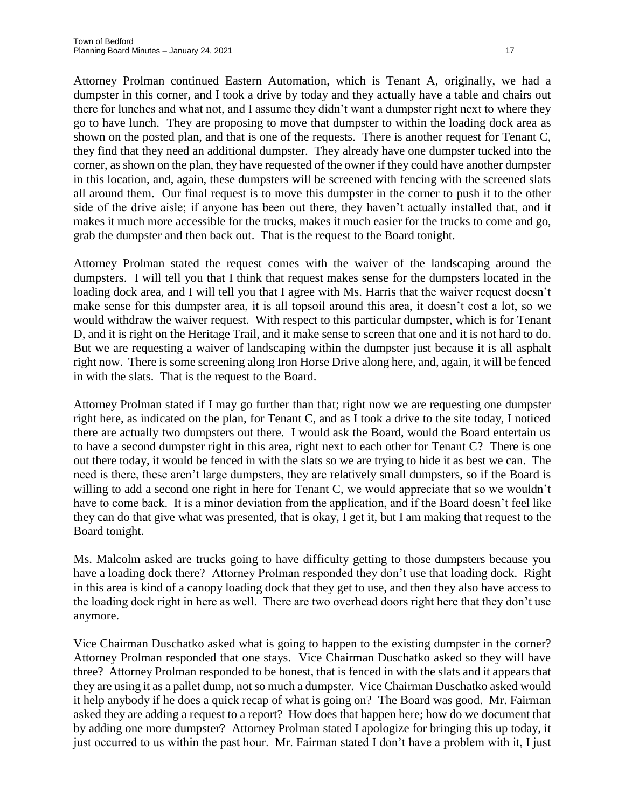Attorney Prolman continued Eastern Automation, which is Tenant A, originally, we had a dumpster in this corner, and I took a drive by today and they actually have a table and chairs out there for lunches and what not, and I assume they didn't want a dumpster right next to where they go to have lunch. They are proposing to move that dumpster to within the loading dock area as shown on the posted plan, and that is one of the requests. There is another request for Tenant C, they find that they need an additional dumpster. They already have one dumpster tucked into the corner, as shown on the plan, they have requested of the owner if they could have another dumpster in this location, and, again, these dumpsters will be screened with fencing with the screened slats all around them. Our final request is to move this dumpster in the corner to push it to the other side of the drive aisle; if anyone has been out there, they haven't actually installed that, and it makes it much more accessible for the trucks, makes it much easier for the trucks to come and go, grab the dumpster and then back out. That is the request to the Board tonight.

Attorney Prolman stated the request comes with the waiver of the landscaping around the dumpsters. I will tell you that I think that request makes sense for the dumpsters located in the loading dock area, and I will tell you that I agree with Ms. Harris that the waiver request doesn't make sense for this dumpster area, it is all topsoil around this area, it doesn't cost a lot, so we would withdraw the waiver request. With respect to this particular dumpster, which is for Tenant D, and it is right on the Heritage Trail, and it make sense to screen that one and it is not hard to do. But we are requesting a waiver of landscaping within the dumpster just because it is all asphalt right now. There is some screening along Iron Horse Drive along here, and, again, it will be fenced in with the slats. That is the request to the Board.

Attorney Prolman stated if I may go further than that; right now we are requesting one dumpster right here, as indicated on the plan, for Tenant C, and as I took a drive to the site today, I noticed there are actually two dumpsters out there. I would ask the Board, would the Board entertain us to have a second dumpster right in this area, right next to each other for Tenant C? There is one out there today, it would be fenced in with the slats so we are trying to hide it as best we can. The need is there, these aren't large dumpsters, they are relatively small dumpsters, so if the Board is willing to add a second one right in here for Tenant C, we would appreciate that so we wouldn't have to come back. It is a minor deviation from the application, and if the Board doesn't feel like they can do that give what was presented, that is okay, I get it, but I am making that request to the Board tonight.

Ms. Malcolm asked are trucks going to have difficulty getting to those dumpsters because you have a loading dock there? Attorney Prolman responded they don't use that loading dock. Right in this area is kind of a canopy loading dock that they get to use, and then they also have access to the loading dock right in here as well. There are two overhead doors right here that they don't use anymore.

Vice Chairman Duschatko asked what is going to happen to the existing dumpster in the corner? Attorney Prolman responded that one stays. Vice Chairman Duschatko asked so they will have three? Attorney Prolman responded to be honest, that is fenced in with the slats and it appears that they are using it as a pallet dump, not so much a dumpster. Vice Chairman Duschatko asked would it help anybody if he does a quick recap of what is going on? The Board was good. Mr. Fairman asked they are adding a request to a report? How does that happen here; how do we document that by adding one more dumpster? Attorney Prolman stated I apologize for bringing this up today, it just occurred to us within the past hour. Mr. Fairman stated I don't have a problem with it, I just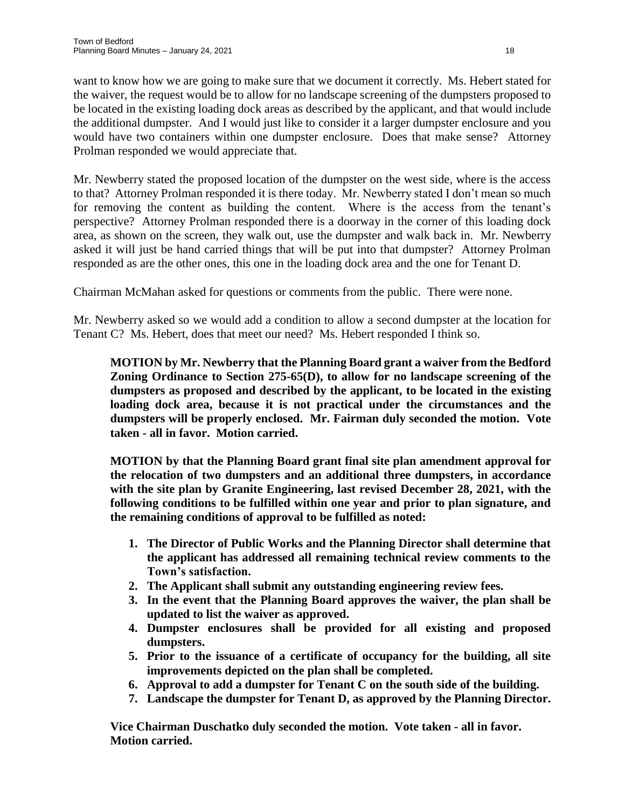want to know how we are going to make sure that we document it correctly. Ms. Hebert stated for the waiver, the request would be to allow for no landscape screening of the dumpsters proposed to be located in the existing loading dock areas as described by the applicant, and that would include the additional dumpster. And I would just like to consider it a larger dumpster enclosure and you would have two containers within one dumpster enclosure. Does that make sense? Attorney Prolman responded we would appreciate that.

Mr. Newberry stated the proposed location of the dumpster on the west side, where is the access to that? Attorney Prolman responded it is there today. Mr. Newberry stated I don't mean so much for removing the content as building the content. Where is the access from the tenant's perspective? Attorney Prolman responded there is a doorway in the corner of this loading dock area, as shown on the screen, they walk out, use the dumpster and walk back in. Mr. Newberry asked it will just be hand carried things that will be put into that dumpster? Attorney Prolman responded as are the other ones, this one in the loading dock area and the one for Tenant D.

Chairman McMahan asked for questions or comments from the public. There were none.

Mr. Newberry asked so we would add a condition to allow a second dumpster at the location for Tenant C? Ms. Hebert, does that meet our need? Ms. Hebert responded I think so.

**MOTION by Mr. Newberry that the Planning Board grant a waiver from the Bedford Zoning Ordinance to Section 275-65(D), to allow for no landscape screening of the dumpsters as proposed and described by the applicant, to be located in the existing loading dock area, because it is not practical under the circumstances and the dumpsters will be properly enclosed. Mr. Fairman duly seconded the motion. Vote taken - all in favor. Motion carried.**

**MOTION by that the Planning Board grant final site plan amendment approval for the relocation of two dumpsters and an additional three dumpsters, in accordance with the site plan by Granite Engineering, last revised December 28, 2021, with the following conditions to be fulfilled within one year and prior to plan signature, and the remaining conditions of approval to be fulfilled as noted:**

- **1. The Director of Public Works and the Planning Director shall determine that the applicant has addressed all remaining technical review comments to the Town's satisfaction.**
- **2. The Applicant shall submit any outstanding engineering review fees.**
- **3. In the event that the Planning Board approves the waiver, the plan shall be updated to list the waiver as approved.**
- **4. Dumpster enclosures shall be provided for all existing and proposed dumpsters.**
- **5. Prior to the issuance of a certificate of occupancy for the building, all site improvements depicted on the plan shall be completed.**
- **6. Approval to add a dumpster for Tenant C on the south side of the building.**
- **7. Landscape the dumpster for Tenant D, as approved by the Planning Director.**

**Vice Chairman Duschatko duly seconded the motion. Vote taken - all in favor. Motion carried.**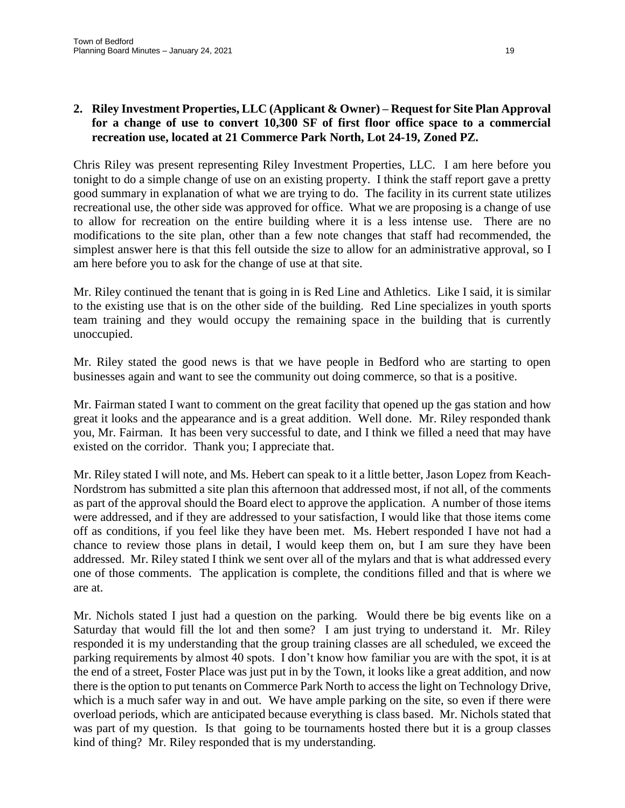Chris Riley was present representing Riley Investment Properties, LLC. I am here before you tonight to do a simple change of use on an existing property. I think the staff report gave a pretty good summary in explanation of what we are trying to do. The facility in its current state utilizes recreational use, the other side was approved for office. What we are proposing is a change of use to allow for recreation on the entire building where it is a less intense use. There are no modifications to the site plan, other than a few note changes that staff had recommended, the simplest answer here is that this fell outside the size to allow for an administrative approval, so I am here before you to ask for the change of use at that site.

Mr. Riley continued the tenant that is going in is Red Line and Athletics. Like I said, it is similar to the existing use that is on the other side of the building. Red Line specializes in youth sports team training and they would occupy the remaining space in the building that is currently unoccupied.

Mr. Riley stated the good news is that we have people in Bedford who are starting to open businesses again and want to see the community out doing commerce, so that is a positive.

Mr. Fairman stated I want to comment on the great facility that opened up the gas station and how great it looks and the appearance and is a great addition. Well done. Mr. Riley responded thank you, Mr. Fairman. It has been very successful to date, and I think we filled a need that may have existed on the corridor. Thank you; I appreciate that.

Mr. Riley stated I will note, and Ms. Hebert can speak to it a little better, Jason Lopez from Keach-Nordstrom has submitted a site plan this afternoon that addressed most, if not all, of the comments as part of the approval should the Board elect to approve the application. A number of those items were addressed, and if they are addressed to your satisfaction, I would like that those items come off as conditions, if you feel like they have been met. Ms. Hebert responded I have not had a chance to review those plans in detail, I would keep them on, but I am sure they have been addressed. Mr. Riley stated I think we sent over all of the mylars and that is what addressed every one of those comments. The application is complete, the conditions filled and that is where we are at.

Mr. Nichols stated I just had a question on the parking. Would there be big events like on a Saturday that would fill the lot and then some? I am just trying to understand it. Mr. Riley responded it is my understanding that the group training classes are all scheduled, we exceed the parking requirements by almost 40 spots. I don't know how familiar you are with the spot, it is at the end of a street, Foster Place was just put in by the Town, it looks like a great addition, and now there is the option to put tenants on Commerce Park North to access the light on Technology Drive, which is a much safer way in and out. We have ample parking on the site, so even if there were overload periods, which are anticipated because everything is class based. Mr. Nichols stated that was part of my question. Is that going to be tournaments hosted there but it is a group classes kind of thing? Mr. Riley responded that is my understanding.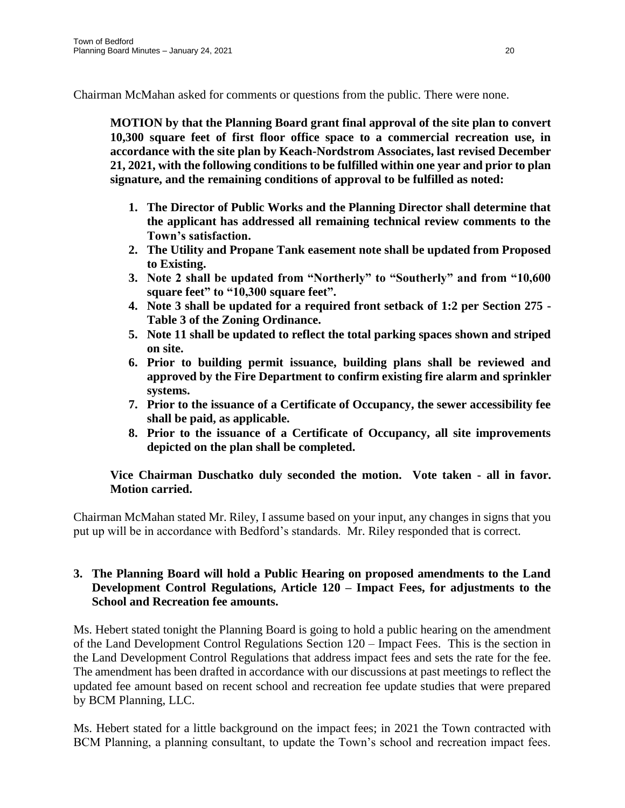Chairman McMahan asked for comments or questions from the public. There were none.

**MOTION by that the Planning Board grant final approval of the site plan to convert 10,300 square feet of first floor office space to a commercial recreation use, in accordance with the site plan by Keach-Nordstrom Associates, last revised December 21, 2021, with the following conditions to be fulfilled within one year and prior to plan signature, and the remaining conditions of approval to be fulfilled as noted:**

- **1. The Director of Public Works and the Planning Director shall determine that the applicant has addressed all remaining technical review comments to the Town's satisfaction.**
- **2. The Utility and Propane Tank easement note shall be updated from Proposed to Existing.**
- **3. Note 2 shall be updated from "Northerly" to "Southerly" and from "10,600 square feet" to "10,300 square feet".**
- **4. Note 3 shall be updated for a required front setback of 1:2 per Section 275 - Table 3 of the Zoning Ordinance.**
- **5. Note 11 shall be updated to reflect the total parking spaces shown and striped on site.**
- **6. Prior to building permit issuance, building plans shall be reviewed and approved by the Fire Department to confirm existing fire alarm and sprinkler systems.**
- **7. Prior to the issuance of a Certificate of Occupancy, the sewer accessibility fee shall be paid, as applicable.**
- **8. Prior to the issuance of a Certificate of Occupancy, all site improvements depicted on the plan shall be completed.**

# **Vice Chairman Duschatko duly seconded the motion. Vote taken - all in favor. Motion carried.**

Chairman McMahan stated Mr. Riley, I assume based on your input, any changes in signs that you put up will be in accordance with Bedford's standards. Mr. Riley responded that is correct.

#### **3. The Planning Board will hold a Public Hearing on proposed amendments to the Land Development Control Regulations, Article 120 – Impact Fees, for adjustments to the School and Recreation fee amounts.**

Ms. Hebert stated tonight the Planning Board is going to hold a public hearing on the amendment of the Land Development Control Regulations Section 120 – Impact Fees. This is the section in the Land Development Control Regulations that address impact fees and sets the rate for the fee. The amendment has been drafted in accordance with our discussions at past meetings to reflect the updated fee amount based on recent school and recreation fee update studies that were prepared by BCM Planning, LLC.

Ms. Hebert stated for a little background on the impact fees; in 2021 the Town contracted with BCM Planning, a planning consultant, to update the Town's school and recreation impact fees.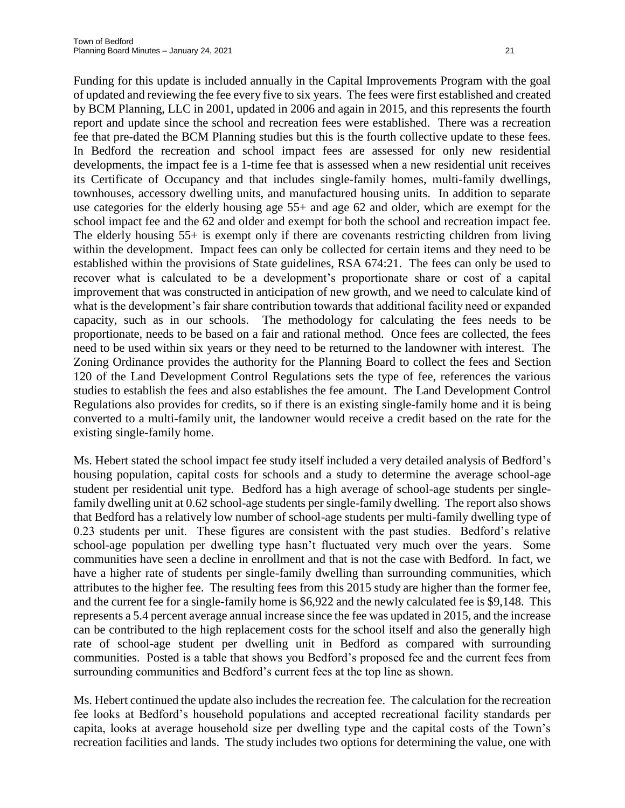Funding for this update is included annually in the Capital Improvements Program with the goal of updated and reviewing the fee every five to six years. The fees were first established and created by BCM Planning, LLC in 2001, updated in 2006 and again in 2015, and this represents the fourth report and update since the school and recreation fees were established. There was a recreation fee that pre-dated the BCM Planning studies but this is the fourth collective update to these fees. In Bedford the recreation and school impact fees are assessed for only new residential developments, the impact fee is a 1-time fee that is assessed when a new residential unit receives its Certificate of Occupancy and that includes single-family homes, multi-family dwellings, townhouses, accessory dwelling units, and manufactured housing units. In addition to separate use categories for the elderly housing age 55+ and age 62 and older, which are exempt for the school impact fee and the 62 and older and exempt for both the school and recreation impact fee. The elderly housing 55+ is exempt only if there are covenants restricting children from living within the development. Impact fees can only be collected for certain items and they need to be established within the provisions of State guidelines, RSA 674:21. The fees can only be used to recover what is calculated to be a development's proportionate share or cost of a capital improvement that was constructed in anticipation of new growth, and we need to calculate kind of what is the development's fair share contribution towards that additional facility need or expanded capacity, such as in our schools. The methodology for calculating the fees needs to be proportionate, needs to be based on a fair and rational method. Once fees are collected, the fees need to be used within six years or they need to be returned to the landowner with interest. The Zoning Ordinance provides the authority for the Planning Board to collect the fees and Section 120 of the Land Development Control Regulations sets the type of fee, references the various studies to establish the fees and also establishes the fee amount. The Land Development Control Regulations also provides for credits, so if there is an existing single-family home and it is being converted to a multi-family unit, the landowner would receive a credit based on the rate for the existing single-family home.

Ms. Hebert stated the school impact fee study itself included a very detailed analysis of Bedford's housing population, capital costs for schools and a study to determine the average school-age student per residential unit type. Bedford has a high average of school-age students per singlefamily dwelling unit at 0.62 school-age students per single-family dwelling. The report also shows that Bedford has a relatively low number of school-age students per multi-family dwelling type of 0.23 students per unit. These figures are consistent with the past studies. Bedford's relative school-age population per dwelling type hasn't fluctuated very much over the years. Some communities have seen a decline in enrollment and that is not the case with Bedford. In fact, we have a higher rate of students per single-family dwelling than surrounding communities, which attributes to the higher fee. The resulting fees from this 2015 study are higher than the former fee, and the current fee for a single-family home is \$6,922 and the newly calculated fee is \$9,148. This represents a 5.4 percent average annual increase since the fee was updated in 2015, and the increase can be contributed to the high replacement costs for the school itself and also the generally high rate of school-age student per dwelling unit in Bedford as compared with surrounding communities. Posted is a table that shows you Bedford's proposed fee and the current fees from surrounding communities and Bedford's current fees at the top line as shown.

Ms. Hebert continued the update also includes the recreation fee. The calculation for the recreation fee looks at Bedford's household populations and accepted recreational facility standards per capita, looks at average household size per dwelling type and the capital costs of the Town's recreation facilities and lands. The study includes two options for determining the value, one with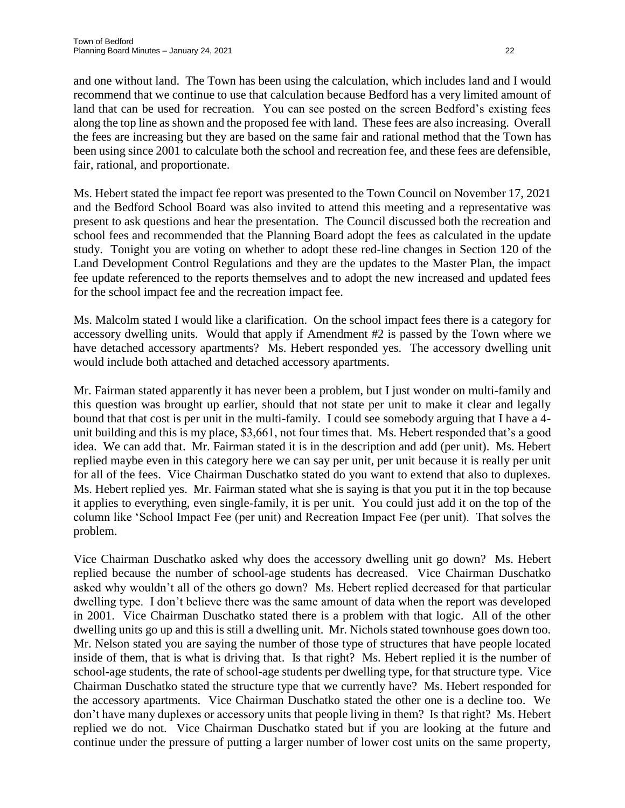and one without land. The Town has been using the calculation, which includes land and I would recommend that we continue to use that calculation because Bedford has a very limited amount of land that can be used for recreation. You can see posted on the screen Bedford's existing fees along the top line as shown and the proposed fee with land. These fees are also increasing. Overall the fees are increasing but they are based on the same fair and rational method that the Town has been using since 2001 to calculate both the school and recreation fee, and these fees are defensible, fair, rational, and proportionate.

Ms. Hebert stated the impact fee report was presented to the Town Council on November 17, 2021 and the Bedford School Board was also invited to attend this meeting and a representative was present to ask questions and hear the presentation. The Council discussed both the recreation and school fees and recommended that the Planning Board adopt the fees as calculated in the update study. Tonight you are voting on whether to adopt these red-line changes in Section 120 of the Land Development Control Regulations and they are the updates to the Master Plan, the impact fee update referenced to the reports themselves and to adopt the new increased and updated fees for the school impact fee and the recreation impact fee.

Ms. Malcolm stated I would like a clarification. On the school impact fees there is a category for accessory dwelling units. Would that apply if Amendment #2 is passed by the Town where we have detached accessory apartments? Ms. Hebert responded yes. The accessory dwelling unit would include both attached and detached accessory apartments.

Mr. Fairman stated apparently it has never been a problem, but I just wonder on multi-family and this question was brought up earlier, should that not state per unit to make it clear and legally bound that that cost is per unit in the multi-family. I could see somebody arguing that I have a 4 unit building and this is my place, \$3,661, not four times that. Ms. Hebert responded that's a good idea. We can add that. Mr. Fairman stated it is in the description and add (per unit). Ms. Hebert replied maybe even in this category here we can say per unit, per unit because it is really per unit for all of the fees. Vice Chairman Duschatko stated do you want to extend that also to duplexes. Ms. Hebert replied yes. Mr. Fairman stated what she is saying is that you put it in the top because it applies to everything, even single-family, it is per unit. You could just add it on the top of the column like 'School Impact Fee (per unit) and Recreation Impact Fee (per unit). That solves the problem.

Vice Chairman Duschatko asked why does the accessory dwelling unit go down? Ms. Hebert replied because the number of school-age students has decreased. Vice Chairman Duschatko asked why wouldn't all of the others go down? Ms. Hebert replied decreased for that particular dwelling type. I don't believe there was the same amount of data when the report was developed in 2001. Vice Chairman Duschatko stated there is a problem with that logic. All of the other dwelling units go up and this is still a dwelling unit. Mr. Nichols stated townhouse goes down too. Mr. Nelson stated you are saying the number of those type of structures that have people located inside of them, that is what is driving that. Is that right? Ms. Hebert replied it is the number of school-age students, the rate of school-age students per dwelling type, for that structure type. Vice Chairman Duschatko stated the structure type that we currently have? Ms. Hebert responded for the accessory apartments. Vice Chairman Duschatko stated the other one is a decline too. We don't have many duplexes or accessory units that people living in them? Is that right? Ms. Hebert replied we do not. Vice Chairman Duschatko stated but if you are looking at the future and continue under the pressure of putting a larger number of lower cost units on the same property,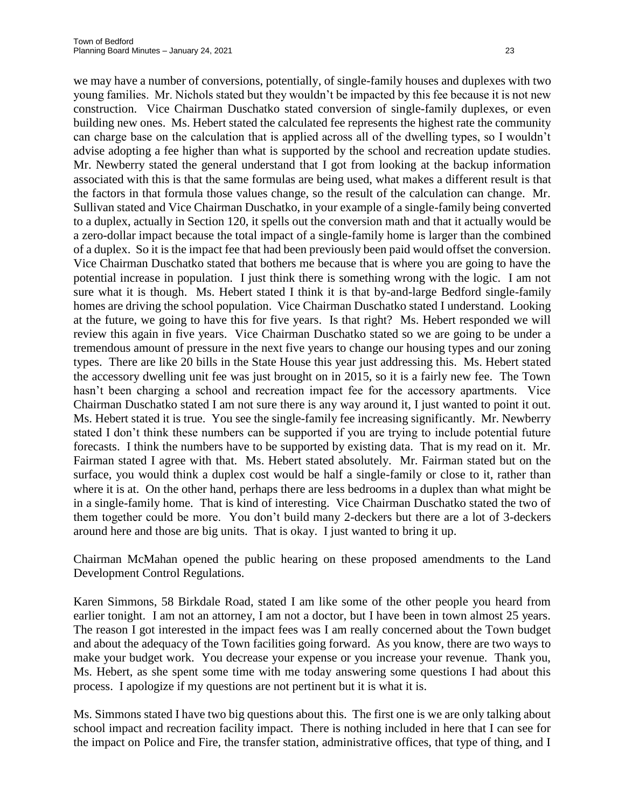we may have a number of conversions, potentially, of single-family houses and duplexes with two young families. Mr. Nichols stated but they wouldn't be impacted by this fee because it is not new construction. Vice Chairman Duschatko stated conversion of single-family duplexes, or even building new ones. Ms. Hebert stated the calculated fee represents the highest rate the community can charge base on the calculation that is applied across all of the dwelling types, so I wouldn't advise adopting a fee higher than what is supported by the school and recreation update studies. Mr. Newberry stated the general understand that I got from looking at the backup information associated with this is that the same formulas are being used, what makes a different result is that the factors in that formula those values change, so the result of the calculation can change. Mr. Sullivan stated and Vice Chairman Duschatko, in your example of a single-family being converted to a duplex, actually in Section 120, it spells out the conversion math and that it actually would be a zero-dollar impact because the total impact of a single-family home is larger than the combined of a duplex. So it is the impact fee that had been previously been paid would offset the conversion. Vice Chairman Duschatko stated that bothers me because that is where you are going to have the potential increase in population. I just think there is something wrong with the logic. I am not sure what it is though. Ms. Hebert stated I think it is that by-and-large Bedford single-family homes are driving the school population. Vice Chairman Duschatko stated I understand. Looking at the future, we going to have this for five years. Is that right? Ms. Hebert responded we will review this again in five years. Vice Chairman Duschatko stated so we are going to be under a tremendous amount of pressure in the next five years to change our housing types and our zoning types. There are like 20 bills in the State House this year just addressing this. Ms. Hebert stated the accessory dwelling unit fee was just brought on in 2015, so it is a fairly new fee. The Town hasn't been charging a school and recreation impact fee for the accessory apartments. Vice Chairman Duschatko stated I am not sure there is any way around it, I just wanted to point it out. Ms. Hebert stated it is true. You see the single-family fee increasing significantly. Mr. Newberry stated I don't think these numbers can be supported if you are trying to include potential future forecasts. I think the numbers have to be supported by existing data. That is my read on it. Mr. Fairman stated I agree with that. Ms. Hebert stated absolutely. Mr. Fairman stated but on the surface, you would think a duplex cost would be half a single-family or close to it, rather than where it is at. On the other hand, perhaps there are less bedrooms in a duplex than what might be in a single-family home. That is kind of interesting. Vice Chairman Duschatko stated the two of them together could be more. You don't build many 2-deckers but there are a lot of 3-deckers around here and those are big units. That is okay. I just wanted to bring it up.

Chairman McMahan opened the public hearing on these proposed amendments to the Land Development Control Regulations.

Karen Simmons, 58 Birkdale Road, stated I am like some of the other people you heard from earlier tonight. I am not an attorney, I am not a doctor, but I have been in town almost 25 years. The reason I got interested in the impact fees was I am really concerned about the Town budget and about the adequacy of the Town facilities going forward. As you know, there are two ways to make your budget work. You decrease your expense or you increase your revenue. Thank you, Ms. Hebert, as she spent some time with me today answering some questions I had about this process. I apologize if my questions are not pertinent but it is what it is.

Ms. Simmons stated I have two big questions about this. The first one is we are only talking about school impact and recreation facility impact. There is nothing included in here that I can see for the impact on Police and Fire, the transfer station, administrative offices, that type of thing, and I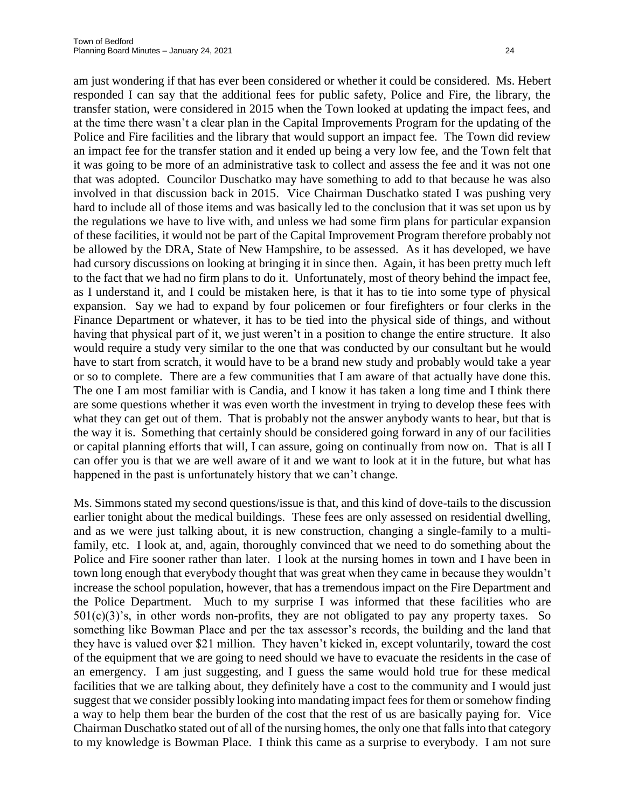am just wondering if that has ever been considered or whether it could be considered. Ms. Hebert responded I can say that the additional fees for public safety, Police and Fire, the library, the transfer station, were considered in 2015 when the Town looked at updating the impact fees, and at the time there wasn't a clear plan in the Capital Improvements Program for the updating of the Police and Fire facilities and the library that would support an impact fee. The Town did review an impact fee for the transfer station and it ended up being a very low fee, and the Town felt that it was going to be more of an administrative task to collect and assess the fee and it was not one that was adopted. Councilor Duschatko may have something to add to that because he was also involved in that discussion back in 2015. Vice Chairman Duschatko stated I was pushing very hard to include all of those items and was basically led to the conclusion that it was set upon us by the regulations we have to live with, and unless we had some firm plans for particular expansion of these facilities, it would not be part of the Capital Improvement Program therefore probably not be allowed by the DRA, State of New Hampshire, to be assessed. As it has developed, we have had cursory discussions on looking at bringing it in since then. Again, it has been pretty much left to the fact that we had no firm plans to do it. Unfortunately, most of theory behind the impact fee, as I understand it, and I could be mistaken here, is that it has to tie into some type of physical expansion. Say we had to expand by four policemen or four firefighters or four clerks in the Finance Department or whatever, it has to be tied into the physical side of things, and without having that physical part of it, we just weren't in a position to change the entire structure. It also would require a study very similar to the one that was conducted by our consultant but he would have to start from scratch, it would have to be a brand new study and probably would take a year or so to complete. There are a few communities that I am aware of that actually have done this. The one I am most familiar with is Candia, and I know it has taken a long time and I think there are some questions whether it was even worth the investment in trying to develop these fees with what they can get out of them. That is probably not the answer anybody wants to hear, but that is the way it is. Something that certainly should be considered going forward in any of our facilities or capital planning efforts that will, I can assure, going on continually from now on. That is all I can offer you is that we are well aware of it and we want to look at it in the future, but what has happened in the past is unfortunately history that we can't change.

Ms. Simmons stated my second questions/issue is that, and this kind of dove-tails to the discussion earlier tonight about the medical buildings. These fees are only assessed on residential dwelling, and as we were just talking about, it is new construction, changing a single-family to a multifamily, etc. I look at, and, again, thoroughly convinced that we need to do something about the Police and Fire sooner rather than later. I look at the nursing homes in town and I have been in town long enough that everybody thought that was great when they came in because they wouldn't increase the school population, however, that has a tremendous impact on the Fire Department and the Police Department. Much to my surprise I was informed that these facilities who are  $501(c)(3)$ 's, in other words non-profits, they are not obligated to pay any property taxes. So something like Bowman Place and per the tax assessor's records, the building and the land that they have is valued over \$21 million. They haven't kicked in, except voluntarily, toward the cost of the equipment that we are going to need should we have to evacuate the residents in the case of an emergency. I am just suggesting, and I guess the same would hold true for these medical facilities that we are talking about, they definitely have a cost to the community and I would just suggest that we consider possibly looking into mandating impact fees for them or somehow finding a way to help them bear the burden of the cost that the rest of us are basically paying for. Vice Chairman Duschatko stated out of all of the nursing homes, the only one that falls into that category to my knowledge is Bowman Place. I think this came as a surprise to everybody. I am not sure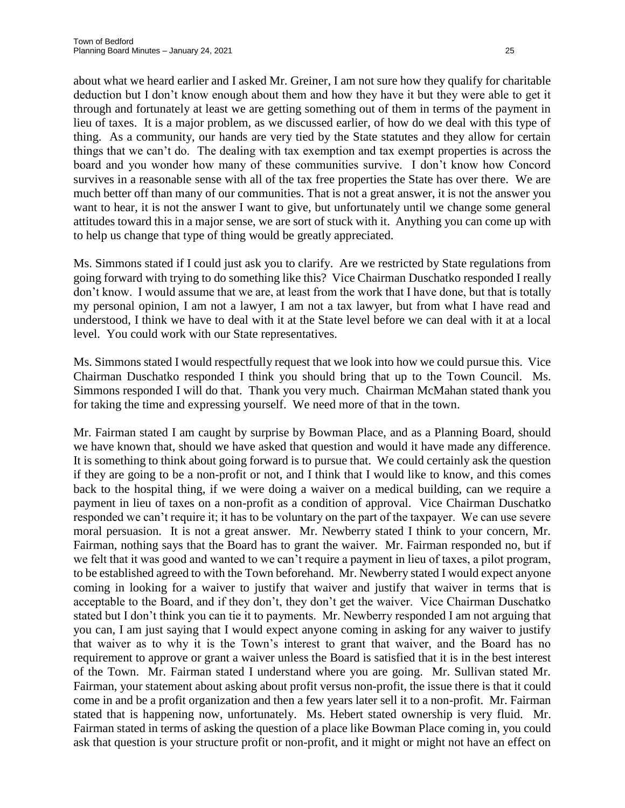about what we heard earlier and I asked Mr. Greiner, I am not sure how they qualify for charitable deduction but I don't know enough about them and how they have it but they were able to get it through and fortunately at least we are getting something out of them in terms of the payment in lieu of taxes. It is a major problem, as we discussed earlier, of how do we deal with this type of thing. As a community, our hands are very tied by the State statutes and they allow for certain things that we can't do. The dealing with tax exemption and tax exempt properties is across the board and you wonder how many of these communities survive. I don't know how Concord survives in a reasonable sense with all of the tax free properties the State has over there. We are much better off than many of our communities. That is not a great answer, it is not the answer you want to hear, it is not the answer I want to give, but unfortunately until we change some general attitudes toward this in a major sense, we are sort of stuck with it. Anything you can come up with to help us change that type of thing would be greatly appreciated.

Ms. Simmons stated if I could just ask you to clarify. Are we restricted by State regulations from going forward with trying to do something like this? Vice Chairman Duschatko responded I really don't know. I would assume that we are, at least from the work that I have done, but that is totally my personal opinion, I am not a lawyer, I am not a tax lawyer, but from what I have read and understood, I think we have to deal with it at the State level before we can deal with it at a local level. You could work with our State representatives.

Ms. Simmons stated I would respectfully request that we look into how we could pursue this. Vice Chairman Duschatko responded I think you should bring that up to the Town Council. Ms. Simmons responded I will do that. Thank you very much. Chairman McMahan stated thank you for taking the time and expressing yourself. We need more of that in the town.

Mr. Fairman stated I am caught by surprise by Bowman Place, and as a Planning Board, should we have known that, should we have asked that question and would it have made any difference. It is something to think about going forward is to pursue that. We could certainly ask the question if they are going to be a non-profit or not, and I think that I would like to know, and this comes back to the hospital thing, if we were doing a waiver on a medical building, can we require a payment in lieu of taxes on a non-profit as a condition of approval. Vice Chairman Duschatko responded we can't require it; it has to be voluntary on the part of the taxpayer. We can use severe moral persuasion. It is not a great answer. Mr. Newberry stated I think to your concern, Mr. Fairman, nothing says that the Board has to grant the waiver. Mr. Fairman responded no, but if we felt that it was good and wanted to we can't require a payment in lieu of taxes, a pilot program, to be established agreed to with the Town beforehand. Mr. Newberry stated I would expect anyone coming in looking for a waiver to justify that waiver and justify that waiver in terms that is acceptable to the Board, and if they don't, they don't get the waiver. Vice Chairman Duschatko stated but I don't think you can tie it to payments. Mr. Newberry responded I am not arguing that you can, I am just saying that I would expect anyone coming in asking for any waiver to justify that waiver as to why it is the Town's interest to grant that waiver, and the Board has no requirement to approve or grant a waiver unless the Board is satisfied that it is in the best interest of the Town. Mr. Fairman stated I understand where you are going. Mr. Sullivan stated Mr. Fairman, your statement about asking about profit versus non-profit, the issue there is that it could come in and be a profit organization and then a few years later sell it to a non-profit. Mr. Fairman stated that is happening now, unfortunately. Ms. Hebert stated ownership is very fluid. Mr. Fairman stated in terms of asking the question of a place like Bowman Place coming in, you could ask that question is your structure profit or non-profit, and it might or might not have an effect on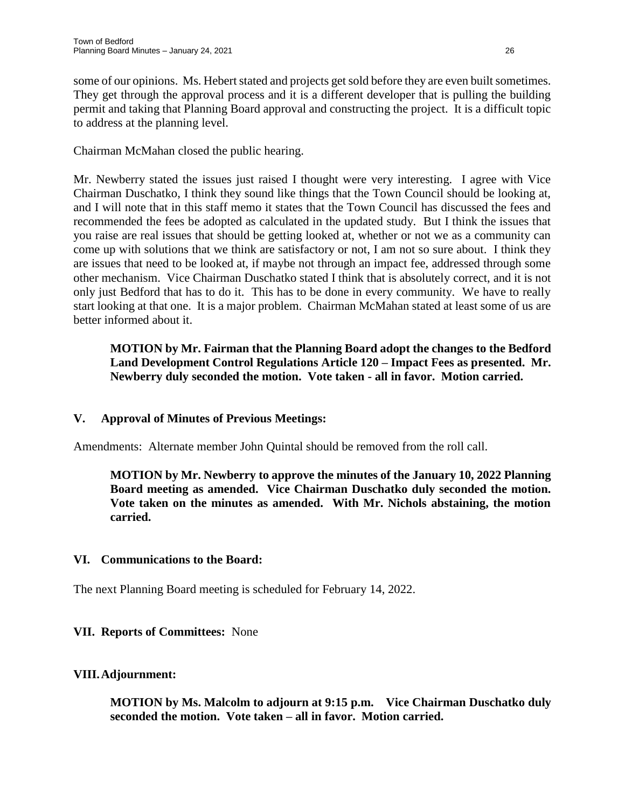some of our opinions. Ms. Hebert stated and projects get sold before they are even built sometimes. They get through the approval process and it is a different developer that is pulling the building permit and taking that Planning Board approval and constructing the project. It is a difficult topic to address at the planning level.

Chairman McMahan closed the public hearing.

Mr. Newberry stated the issues just raised I thought were very interesting. I agree with Vice Chairman Duschatko, I think they sound like things that the Town Council should be looking at, and I will note that in this staff memo it states that the Town Council has discussed the fees and recommended the fees be adopted as calculated in the updated study. But I think the issues that you raise are real issues that should be getting looked at, whether or not we as a community can come up with solutions that we think are satisfactory or not, I am not so sure about. I think they are issues that need to be looked at, if maybe not through an impact fee, addressed through some other mechanism. Vice Chairman Duschatko stated I think that is absolutely correct, and it is not only just Bedford that has to do it. This has to be done in every community. We have to really start looking at that one. It is a major problem. Chairman McMahan stated at least some of us are better informed about it.

**MOTION by Mr. Fairman that the Planning Board adopt the changes to the Bedford Land Development Control Regulations Article 120 – Impact Fees as presented. Mr. Newberry duly seconded the motion. Vote taken - all in favor. Motion carried.**

# **V. Approval of Minutes of Previous Meetings:**

Amendments: Alternate member John Quintal should be removed from the roll call.

**MOTION by Mr. Newberry to approve the minutes of the January 10, 2022 Planning Board meeting as amended. Vice Chairman Duschatko duly seconded the motion. Vote taken on the minutes as amended. With Mr. Nichols abstaining, the motion carried.**

# **VI. Communications to the Board:**

The next Planning Board meeting is scheduled for February 14, 2022.

# **VII. Reports of Committees:** None

#### **VIII.Adjournment:**

**MOTION by Ms. Malcolm to adjourn at 9:15 p.m. Vice Chairman Duschatko duly seconded the motion. Vote taken – all in favor. Motion carried.**